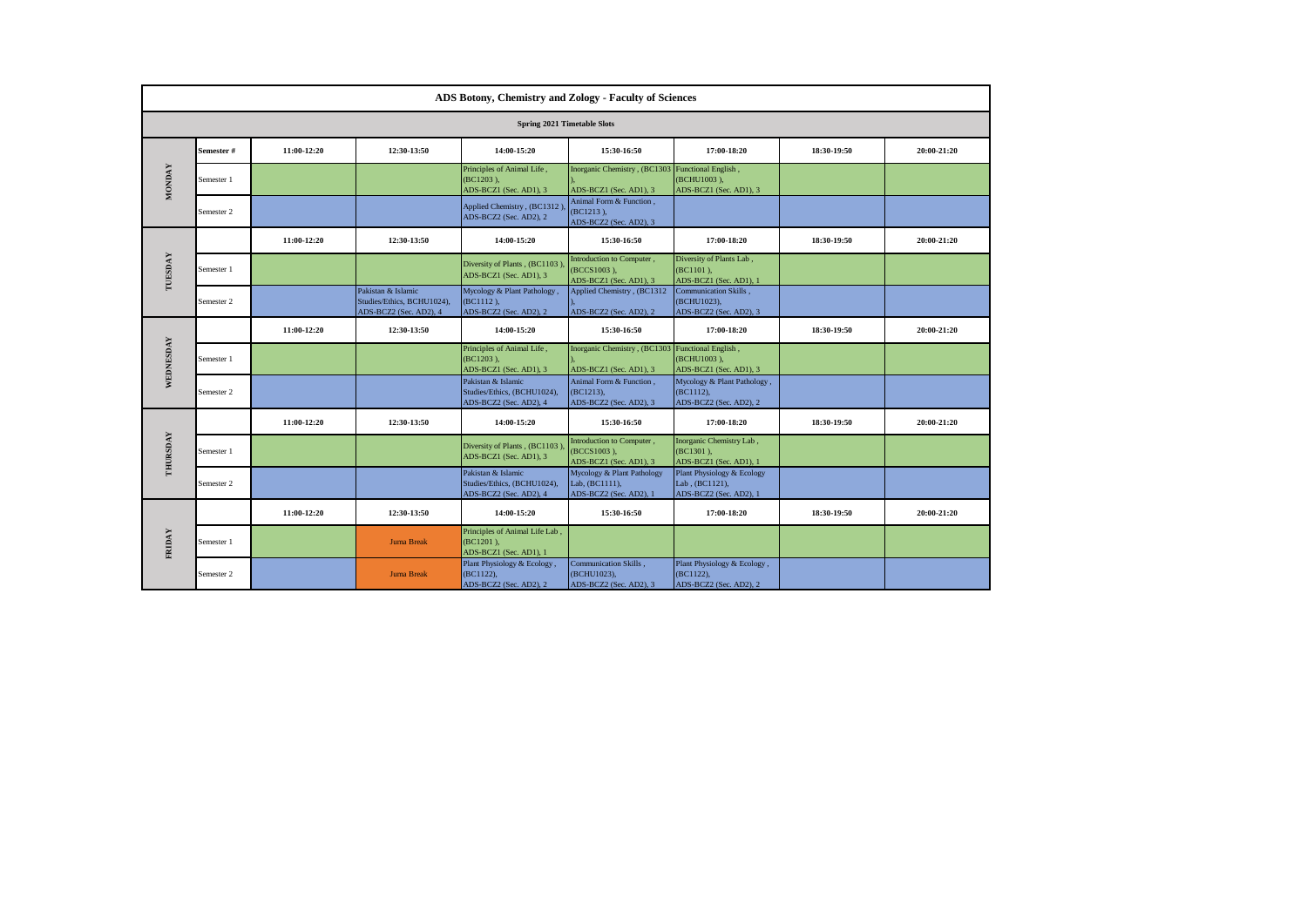|               | ADS Botony, Chemistry and Zology - Faculty of Sciences |             |                                                                            |                                                                             |                                                                            |                                                                        |             |             |  |  |
|---------------|--------------------------------------------------------|-------------|----------------------------------------------------------------------------|-----------------------------------------------------------------------------|----------------------------------------------------------------------------|------------------------------------------------------------------------|-------------|-------------|--|--|
|               | Spring 2021 Timetable Slots                            |             |                                                                            |                                                                             |                                                                            |                                                                        |             |             |  |  |
|               | Semester#                                              | 11:00-12:20 | 12:30-13:50                                                                | 14:00-15:20                                                                 | 15:30-16:50                                                                | 17:00-18:20                                                            | 18:30-19:50 | 20:00-21:20 |  |  |
| <b>MONDAY</b> | Semester 1                                             |             |                                                                            | Principles of Animal Life,<br>$(BC1203)$ ,<br>ADS-BCZ1 (Sec. AD1), 3        | Inorganic Chemistry, (BC1303 Functional English,<br>ADS-BCZ1 (Sec. AD1), 3 | (BCHU1003),<br>ADS-BCZ1 (Sec. AD1), 3                                  |             |             |  |  |
|               | Semester 2                                             |             |                                                                            | Applied Chemistry, (BC1312)<br>ADS-BCZ2 (Sec. AD2), 2                       | Animal Form & Function,<br>(BC1213),<br>ADS-BCZ2 (Sec. AD2), 3             |                                                                        |             |             |  |  |
|               |                                                        | 11:00-12:20 | 12:30-13:50                                                                | 14:00-15:20                                                                 | 15:30-16:50                                                                | 17:00-18:20                                                            | 18:30-19:50 | 20:00-21:20 |  |  |
| TUESDAY       | Semester 1                                             |             |                                                                            | Diversity of Plants, (BC1103)<br>ADS-BCZ1 (Sec. AD1), 3                     | Introduction to Computer,<br>(BCCS1003),<br>ADS-BCZ1 (Sec. AD1), 3         | Diversity of Plants Lab,<br>(BC1101),<br>ADS-BCZ1 (Sec. AD1), 1        |             |             |  |  |
|               | Semester 2                                             |             | Pakistan & Islamic<br>Studies/Ethics, BCHU1024),<br>ADS-BCZ2 (Sec. AD2), 4 | Mycology & Plant Pathology,<br>$(BC1112)$ ,<br>ADS-BCZ2 (Sec. AD2), 2       | Applied Chemistry, (BC1312<br>ADS-BCZ2 (Sec. AD2), 2                       | Communication Skills.<br>(BCHU1023),<br>ADS-BCZ2 (Sec. AD2), 3         |             |             |  |  |
|               |                                                        | 11:00-12:20 | 12:30-13:50                                                                | 14:00-15:20                                                                 | 15:30-16:50                                                                | 17:00-18:20                                                            | 18:30-19:50 | 20:00-21:20 |  |  |
| WEDNESDAY     | Semester 1                                             |             |                                                                            | Principles of Animal Life,<br>$(BC1203)$ ,<br>ADS-BCZ1 (Sec. AD1), 3        | Inorganic Chemistry, (BC1303 Functional English,<br>ADS-BCZ1 (Sec. AD1), 3 | (BCHU1003),<br>ADS-BCZ1 (Sec. AD1), 3                                  |             |             |  |  |
|               | Semester 2                                             |             |                                                                            | Pakistan & Islamic<br>Studies/Ethics, (BCHU1024),<br>ADS-BCZ2 (Sec. AD2), 4 | Animal Form & Function.<br>(BC1213),<br>ADS-BCZ2 (Sec. AD2), 3             | Mycology & Plant Pathology,<br>$(BC1112)$ ,<br>ADS-BCZ2 (Sec. AD2), 2  |             |             |  |  |
|               |                                                        | 11:00-12:20 | 12:30-13:50                                                                | 14:00-15:20                                                                 | 15:30-16:50                                                                | 17:00-18:20                                                            | 18:30-19:50 | 20:00-21:20 |  |  |
| THURSDAY      | Semester 1                                             |             |                                                                            | Diversity of Plants, (BC1103)<br>ADS-BCZ1 (Sec. AD1), 3                     | Introduction to Computer,<br>(BCCS1003),<br>ADS-BCZ1 (Sec. AD1), 3         | Inorganic Chemistry Lab,<br>(BC1301),<br>ADS-BCZ1 (Sec. AD1), 1        |             |             |  |  |
|               | Semester 2                                             |             |                                                                            | Pakistan & Islamic<br>Studies/Ethics, (BCHU1024),<br>ADS-BCZ2 (Sec. AD2), 4 | Mycology & Plant Pathology<br>Lab, (BC1111),<br>ADS-BCZ2 (Sec. AD2), 1     | Plant Physiology & Ecology<br>Lab, (BC1121),<br>ADS-BCZ2 (Sec. AD2), 1 |             |             |  |  |
|               |                                                        | 11:00-12:20 | 12:30-13:50                                                                | 14:00-15:20                                                                 | 15:30-16:50                                                                | 17:00-18:20                                                            | 18:30-19:50 | 20:00-21:20 |  |  |
| FRIDAY        | Semester 1                                             |             | <b>Juma Break</b>                                                          | Principles of Animal Life Lab,<br>(BC1201),<br>ADS-BCZ1 (Sec. AD1), 1       |                                                                            |                                                                        |             |             |  |  |
|               | Semester 2                                             |             | <b>Juma Break</b>                                                          | Plant Physiology & Ecology,<br>(BC1122),<br>ADS-BCZ2 (Sec. AD2), 2          | Communication Skills,<br>(BCHU1023),<br>ADS-BCZ2 (Sec. AD2), 3             | Plant Physiology & Ecology,<br>(BC1122),<br>ADS-BCZ2 (Sec. AD2), 2     |             |             |  |  |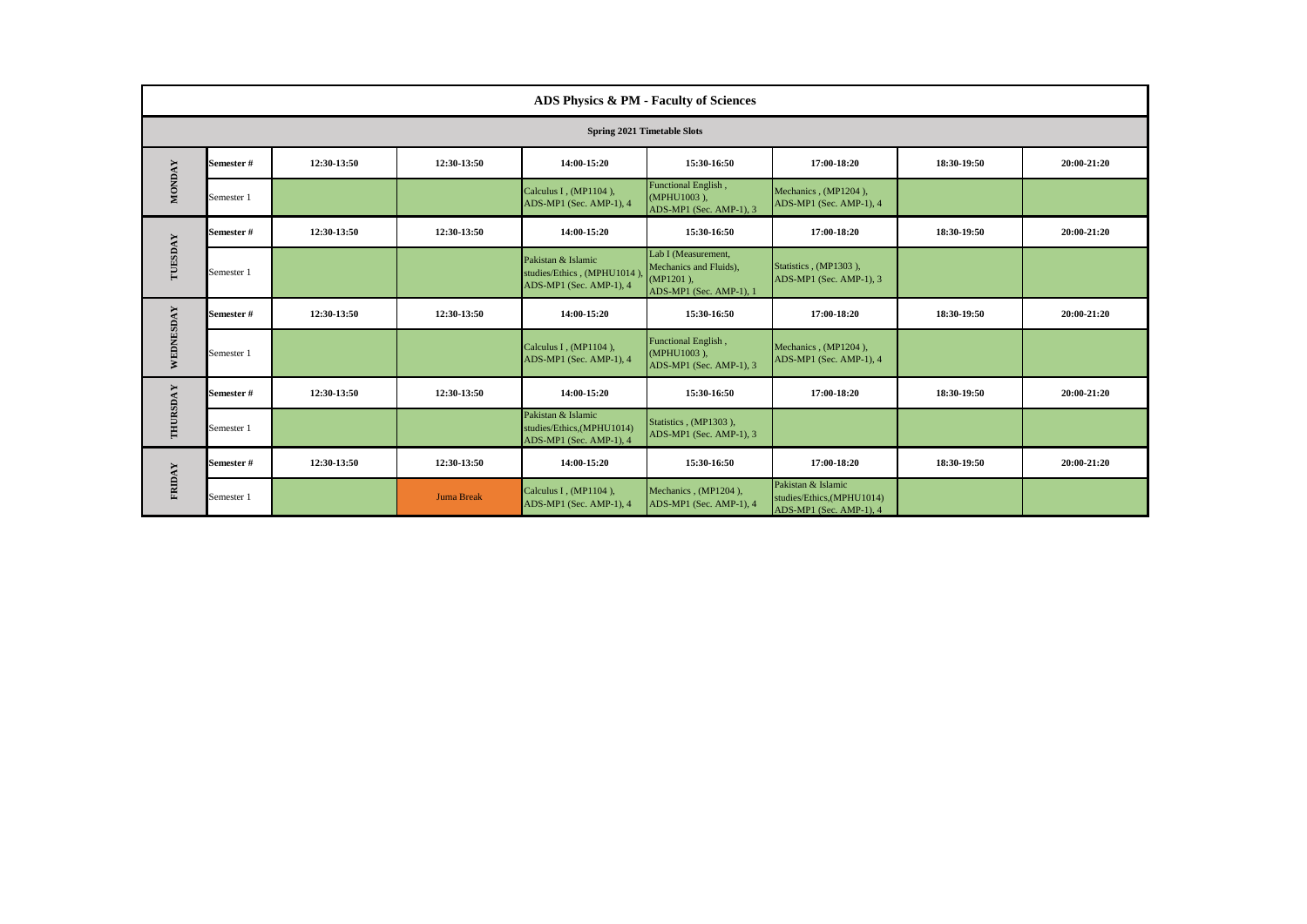|               | ADS Physics & PM - Faculty of Sciences |             |                   |                                                                              |                                                                                          |                                                                             |             |             |  |  |
|---------------|----------------------------------------|-------------|-------------------|------------------------------------------------------------------------------|------------------------------------------------------------------------------------------|-----------------------------------------------------------------------------|-------------|-------------|--|--|
|               | <b>Spring 2021 Timetable Slots</b>     |             |                   |                                                                              |                                                                                          |                                                                             |             |             |  |  |
|               | Semester#                              | 12:30-13:50 | 12:30-13:50       | 14:00-15:20                                                                  | 15:30-16:50                                                                              | 17:00-18:20                                                                 | 18:30-19:50 | 20:00-21:20 |  |  |
| <b>MONDAY</b> | Semester 1                             |             |                   | Calculus I, (MP1104),<br>ADS-MP1 (Sec. AMP-1), 4                             | Functional English,<br>(MPHU1003).<br>ADS-MP1 (Sec. AMP-1), 3                            | Mechanics, (MP1204),<br>ADS-MP1 (Sec. AMP-1), 4                             |             |             |  |  |
|               | <b>Semester#</b>                       | 12:30-13:50 | 12:30-13:50       | 14:00-15:20                                                                  | 15:30-16:50                                                                              | 17:00-18:20                                                                 | 18:30-19:50 | 20:00-21:20 |  |  |
| TUESDAY       | Semester 1                             |             |                   | Pakistan & Islamic<br>studies/Ethics, (MPHU1014),<br>ADS-MP1 (Sec. AMP-1), 4 | Lab I (Measurement,<br>Mechanics and Fluids),<br>$(MP1201)$ ,<br>ADS-MP1 (Sec. AMP-1), 1 | Statistics, (MP1303),<br>ADS-MP1 (Sec. AMP-1), 3                            |             |             |  |  |
|               | <b>Semester#</b>                       | 12:30-13:50 | 12:30-13:50       | 14:00-15:20                                                                  | 15:30-16:50                                                                              | 17:00-18:20                                                                 | 18:30-19:50 | 20:00-21:20 |  |  |
| WEDNESDAY     | Semester 1                             |             |                   | Calculus I, (MP1104),<br>ADS-MP1 (Sec. AMP-1), 4                             | Functional English,<br>(MPHU1003),<br>ADS-MP1 (Sec. AMP-1), 3                            | Mechanics, (MP1204),<br>ADS-MP1 (Sec. AMP-1), 4                             |             |             |  |  |
|               | Semester#                              | 12:30-13:50 | 12:30-13:50       | 14:00-15:20                                                                  | 15:30-16:50                                                                              | 17:00-18:20                                                                 | 18:30-19:50 | 20:00-21:20 |  |  |
| THURSDAY      | Semester 1                             |             |                   | Pakistan & Islamic<br>studies/Ethics,(MPHU1014)<br>ADS-MP1 (Sec. AMP-1), 4   | Statistics, (MP1303),<br>ADS-MP1 (Sec. AMP-1), 3                                         |                                                                             |             |             |  |  |
| <b>FRIDAY</b> | Semester#                              | 12:30-13:50 | 12:30-13:50       | 14:00-15:20                                                                  | 15:30-16:50                                                                              | 17:00-18:20                                                                 | 18:30-19:50 | 20:00-21:20 |  |  |
|               | Semester 1                             |             | <b>Juma Break</b> | Calculus I, (MP1104),<br>ADS-MP1 (Sec. AMP-1), 4                             | Mechanics, (MP1204).<br>ADS-MP1 (Sec. AMP-1), 4                                          | Pakistan & Islamic<br>studies/Ethics, (MPHU1014)<br>ADS-MP1 (Sec. AMP-1), 4 |             |             |  |  |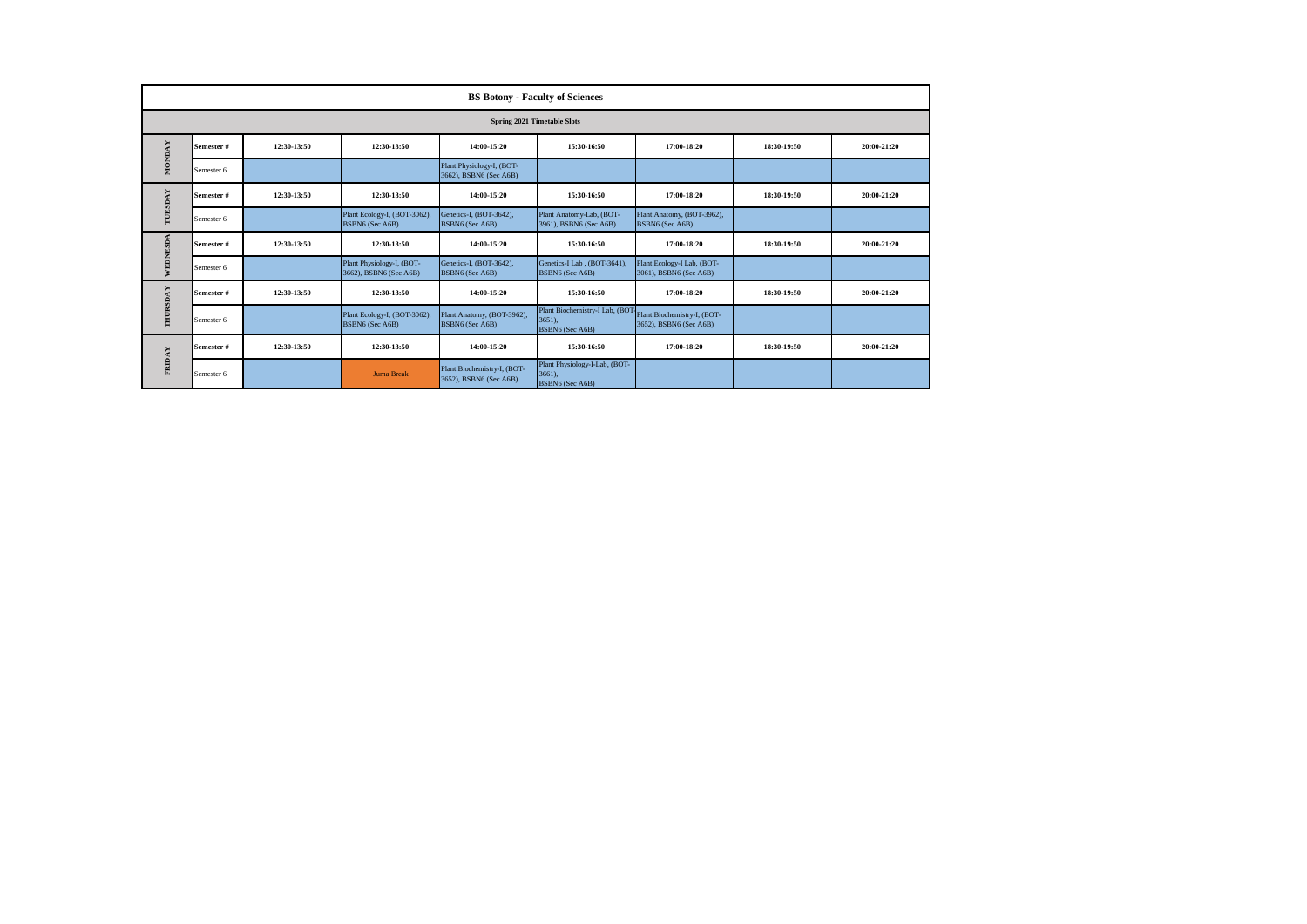|               | <b>BS Botony - Faculty of Sciences</b> |             |                                                     |                                                       |                                                                                         |                                                      |             |             |  |  |
|---------------|----------------------------------------|-------------|-----------------------------------------------------|-------------------------------------------------------|-----------------------------------------------------------------------------------------|------------------------------------------------------|-------------|-------------|--|--|
|               | <b>Spring 2021 Timetable Slots</b>     |             |                                                     |                                                       |                                                                                         |                                                      |             |             |  |  |
| <b>MONDAY</b> | Semester #                             | 12:30-13:50 | 12:30-13:50                                         | 14:00-15:20                                           | 15:30-16:50                                                                             | 17:00-18:20                                          | 18:30-19:50 | 20:00-21:20 |  |  |
|               | Semester 6                             |             |                                                     | Plant Physiology-I, (BOT-<br>3662), BSBN6 (Sec A6B)   |                                                                                         |                                                      |             |             |  |  |
|               | Semester #                             | 12:30-13:50 | 12:30-13:50                                         | 14:00-15:20                                           | 15:30-16:50                                                                             | 17:00-18:20                                          | 18:30-19:50 | 20:00-21:20 |  |  |
| TUESDAY       | Semester 6                             |             | Plant Ecology-I, (BOT-3062),<br>BSBN6 (Sec A6B)     | Genetics-I, (BOT-3642),<br>BSBN6 (Sec A6B)            | Plant Anatomy-Lab, (BOT-<br>3961), BSBN6 (Sec A6B)                                      | Plant Anatomy, (BOT-3962),<br>BSBN6 (Sec A6B)        |             |             |  |  |
|               | Semester #                             | 12:30-13:50 | 12:30-13:50                                         | 14:00-15:20                                           | 15:30-16:50                                                                             | 17:00-18:20                                          | 18:30-19:50 | 20:00-21:20 |  |  |
| WEDNESDA      | Semester 6                             |             | Plant Physiology-I, (BOT-<br>3662), BSBN6 (Sec A6B) | Genetics-I, (BOT-3642),<br>BSBN6 (Sec A6B)            | Genetics-I Lab, (BOT-3641).<br>BSBN6 (Sec A6B)                                          | Plant Ecology-I Lab, (BOT-<br>3061), BSBN6 (Sec A6B) |             |             |  |  |
|               | Semester #                             | 12:30-13:50 | 12:30-13:50                                         | 14:00-15:20                                           | 15:30-16:50                                                                             | 17:00-18:20                                          | 18:30-19:50 | 20:00-21:20 |  |  |
| THURSDAY      | Semester 6                             |             | Plant Ecology-I, (BOT-3062),<br>BSBN6 (Sec A6B)     | Plant Anatomy, (BOT-3962),<br>BSBN6 (Sec A6B)         | Plant Biochemistry-I Lab, (BOT Plant Biochemistry-I, (BOT-<br>3651).<br>BSBN6 (Sec A6B) | 3652), BSBN6 (Sec A6B)                               |             |             |  |  |
| FRIDAY        | Semester #                             | 12:30-13:50 | 12:30-13:50                                         | 14:00-15:20                                           | 15:30-16:50                                                                             | 17:00-18:20                                          | 18:30-19:50 | 20:00-21:20 |  |  |
|               | Semester 6                             |             | <b>Juma Break</b>                                   | Plant Biochemistry-I, (BOT-<br>3652), BSBN6 (Sec A6B) | Plant Physiology-I-Lab, (BOT-<br>3661).<br>BSBN6 (Sec A6B)                              |                                                      |             |             |  |  |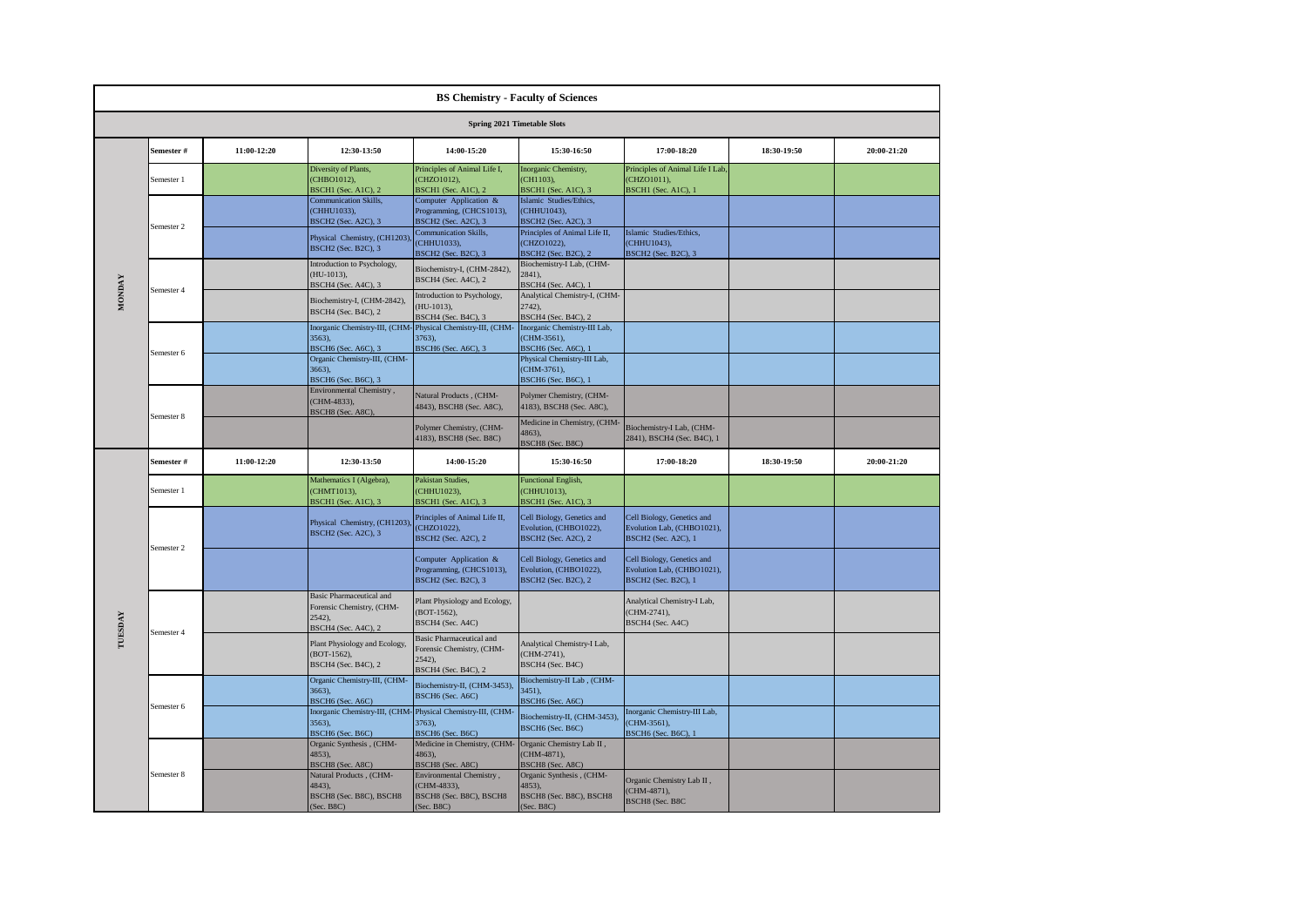|               | <b>BS Chemistry - Faculty of Sciences</b>                                                                                  |             |                                                                                            |                                                                                                                                                                                                                                                                                                                                                                                                                                                                                                                                                                                                                                                                                                                                                                                                                                                                                                                                                                                                                                                                                                                                                                                                                                                                                                                                                                                                                                                                                                                                                                                                                                                                                                                                                                                                                                                                                                                                                                                                                                                                                                                                                                                                                                                                                                                                                                                                                                                                                                                                                                                                                                                                                                                                                                                                                                                                                                                                     |                                                          |                                                |             |             |  |  |
|---------------|----------------------------------------------------------------------------------------------------------------------------|-------------|--------------------------------------------------------------------------------------------|-------------------------------------------------------------------------------------------------------------------------------------------------------------------------------------------------------------------------------------------------------------------------------------------------------------------------------------------------------------------------------------------------------------------------------------------------------------------------------------------------------------------------------------------------------------------------------------------------------------------------------------------------------------------------------------------------------------------------------------------------------------------------------------------------------------------------------------------------------------------------------------------------------------------------------------------------------------------------------------------------------------------------------------------------------------------------------------------------------------------------------------------------------------------------------------------------------------------------------------------------------------------------------------------------------------------------------------------------------------------------------------------------------------------------------------------------------------------------------------------------------------------------------------------------------------------------------------------------------------------------------------------------------------------------------------------------------------------------------------------------------------------------------------------------------------------------------------------------------------------------------------------------------------------------------------------------------------------------------------------------------------------------------------------------------------------------------------------------------------------------------------------------------------------------------------------------------------------------------------------------------------------------------------------------------------------------------------------------------------------------------------------------------------------------------------------------------------------------------------------------------------------------------------------------------------------------------------------------------------------------------------------------------------------------------------------------------------------------------------------------------------------------------------------------------------------------------------------------------------------------------------------------------------------------------------|----------------------------------------------------------|------------------------------------------------|-------------|-------------|--|--|
|               |                                                                                                                            |             |                                                                                            |                                                                                                                                                                                                                                                                                                                                                                                                                                                                                                                                                                                                                                                                                                                                                                                                                                                                                                                                                                                                                                                                                                                                                                                                                                                                                                                                                                                                                                                                                                                                                                                                                                                                                                                                                                                                                                                                                                                                                                                                                                                                                                                                                                                                                                                                                                                                                                                                                                                                                                                                                                                                                                                                                                                                                                                                                                                                                                                                     |                                                          |                                                |             |             |  |  |
|               | Semester #                                                                                                                 | 11:00-12:20 | 12:30-13:50                                                                                | 14:00-15:20                                                                                                                                                                                                                                                                                                                                                                                                                                                                                                                                                                                                                                                                                                                                                                                                                                                                                                                                                                                                                                                                                                                                                                                                                                                                                                                                                                                                                                                                                                                                                                                                                                                                                                                                                                                                                                                                                                                                                                                                                                                                                                                                                                                                                                                                                                                                                                                                                                                                                                                                                                                                                                                                                                                                                                                                                                                                                                                         | 15:30-16:50                                              | 17:00-18:20                                    | 18:30-19:50 | 20:00-21:20 |  |  |
|               | Semester 1                                                                                                                 |             | Diversity of Plants,<br>(CHBO1012),<br><b>BSCH1</b> (Sec. A1C), 2                          | Principles of Animal Life I,<br>(CHZO1012),<br><b>BSCH1</b> (Sec. A1C), 2                                                                                                                                                                                                                                                                                                                                                                                                                                                                                                                                                                                                                                                                                                                                                                                                                                                                                                                                                                                                                                                                                                                                                                                                                                                                                                                                                                                                                                                                                                                                                                                                                                                                                                                                                                                                                                                                                                                                                                                                                                                                                                                                                                                                                                                                                                                                                                                                                                                                                                                                                                                                                                                                                                                                                                                                                                                           | Inorganic Chemistry,<br>(CH1103),<br>BSCH1 (Sec. A1C), 3 | Principles of Animal Life I Lab<br>(CHZO1011), |             |             |  |  |
|               |                                                                                                                            |             | <b>Communication Skills,</b><br>(CHHU1033),<br><b>BSCH2</b> (Sec. A2C), 3                  | <b>Spring 2021 Timetable Slots</b><br>BSCH1 (Sec. A1C), 1<br>Computer Application &<br>Islamic Studies/Ethics.<br>Programming, (CHCS1013),<br>(CHHU1043),<br>BSCH2 (Sec. A2C), 3<br>BSCH2 (Sec. A2C), 3<br><b>Communication Skills,</b><br>Principles of Animal Life II,<br>Islamic Studies/Ethics,<br>(CHHU1043),<br>(CHHU1033),<br>(CHZO1022),<br>BSCH <sub>2</sub> (Sec. B <sub>2C</sub> ), 3<br><b>BSCH2</b> (Sec. B2C), 2<br><b>BSCH2</b> (Sec. B2C), 3<br>Biochemistry-I Lab, (CHM-<br>Biochemistry-I, (CHM-2842),<br>2841),<br>BSCH4 (Sec. A4C), 2<br>BSCH4 (Sec. A4C), 1<br>Introduction to Psychology,<br>Analytical Chemistry-I, (CHM-<br>(HU-1013).<br>2742).<br>BSCH4 (Sec. B4C), 3<br>BSCH4 (Sec. B4C), 2<br>Physical Chemistry-III, (CHM-<br>Inorganic Chemistry-III Lab,<br>(CHM-3561),<br>3763),<br>BSCH6 (Sec. A6C), 3<br>BSCH6 (Sec. A6C), 1<br>Physical Chemistry-III Lab,<br>(CHM-3761),<br>BSCH6 (Sec. B6C), 1<br>Natural Products, (CHM-<br>Polymer Chemistry, (CHM-<br>4843), BSCH8 (Sec. A8C),<br>4183), BSCH8 (Sec. A8C),<br>Medicine in Chemistry, (CHM-<br>Polymer Chemistry, (CHM-<br>Biochemistry-I Lab, (CHM-<br>4863),<br>4183), BSCH8 (Sec. B8C)<br>2841), BSCH4 (Sec. B4C), 1<br>BSCH8 (Sec. B8C)<br>14:00-15:20<br>15:30-16:50<br>20:00-21:20<br>17:00-18:20<br>18:30-19:50<br>Pakistan Studies,<br><b>Functional English,</b><br>(CHHU1023),<br>(CHHU1013),<br><b>BSCH1</b> (Sec. A1C), 3<br>BSCH1 (Sec. A1C), 3<br>Cell Biology, Genetics and<br>Cell Biology, Genetics and<br>Principles of Animal Life II,<br>(CHZO1022),<br>Evolution, (CHBO1022),<br>Evolution Lab, (CHBO1021),<br><b>BSCH2</b> (Sec. A2C), 2<br><b>BSCH2</b> (Sec. A2C), 2<br><b>BSCH2</b> (Sec. A2C), 1<br>Computer Application &<br>Cell Biology, Genetics and<br>Cell Biology, Genetics and<br>Programming, (CHCS1013),<br>Evolution, (CHBO1022),<br>Evolution Lab, (CHBO1021),<br>BSCH2 (Sec. B2C), 3<br>BSCH2 (Sec. B2C), 2<br><b>BSCH2</b> (Sec. B2C), 1<br>Analytical Chemistry-I Lab,<br>Plant Physiology and Ecology,<br>(BOT-1562),<br>(CHM-2741),<br>BSCH4 (Sec. A4C)<br>BSCH4 (Sec. A4C)<br><b>Basic Pharmaceutical and</b><br>Analytical Chemistry-I Lab,<br>Forensic Chemistry, (CHM-<br>(CHM-2741),<br>2542),<br>BSCH4 (Sec. B4C)<br>BSCH4 (Sec. B4C), 2<br>Biochemistry-II Lab, (CHM-<br>Biochemistry-II, (CHM-3453),<br>3451),<br>BSCH6 (Sec. A6C)<br>BSCH <sub>6</sub> (Sec. A <sub>6</sub> C)<br>Inorganic Chemistry-III, (CHM-Physical Chemistry-III, (CHM-<br>Inorganic Chemistry-III Lab,<br>Biochemistry-II, (CHM-3453),<br>3763),<br>(CHM-3561),<br>BSCH6 (Sec. B6C)<br>BSCH6 (Sec. B6C)<br>BSCH6 (Sec. B6C), 1<br>Medicine in Chemistry, (CHM- Organic Chemistry Lab II,<br>(CHM-4871),<br>4863),<br>BSCH8 (Sec. A8C)<br>BSCH8 (Sec. A8C)<br>Natural Products, (CHM-<br>Environmental Chemistry,<br>Organic Synthesis, (CHM-<br>Organic Chemistry Lab II,<br>(CHM-4833),<br>4853),<br>(CHM-4871), |                                                          |                                                |             |             |  |  |
|               |                                                                                                                            |             | Physical Chemistry, (CH1203),<br>BSCH2 (Sec. B2C), 3                                       |                                                                                                                                                                                                                                                                                                                                                                                                                                                                                                                                                                                                                                                                                                                                                                                                                                                                                                                                                                                                                                                                                                                                                                                                                                                                                                                                                                                                                                                                                                                                                                                                                                                                                                                                                                                                                                                                                                                                                                                                                                                                                                                                                                                                                                                                                                                                                                                                                                                                                                                                                                                                                                                                                                                                                                                                                                                                                                                                     |                                                          |                                                |             |             |  |  |
|               | Semester 2<br>Semester 4<br>Semester 6<br>Semester 8<br>Semester #<br>Semester 1<br>Semester 2<br>Semester 4<br>Semester 6 |             | Introduction to Psychology,<br>$(HU-1013),$<br>BSCH4 (Sec. A4C), 3                         |                                                                                                                                                                                                                                                                                                                                                                                                                                                                                                                                                                                                                                                                                                                                                                                                                                                                                                                                                                                                                                                                                                                                                                                                                                                                                                                                                                                                                                                                                                                                                                                                                                                                                                                                                                                                                                                                                                                                                                                                                                                                                                                                                                                                                                                                                                                                                                                                                                                                                                                                                                                                                                                                                                                                                                                                                                                                                                                                     |                                                          |                                                |             |             |  |  |
| <b>MONDAY</b> |                                                                                                                            |             | Biochemistry-I, (CHM-2842),<br>BSCH4 (Sec. B4C), 2                                         |                                                                                                                                                                                                                                                                                                                                                                                                                                                                                                                                                                                                                                                                                                                                                                                                                                                                                                                                                                                                                                                                                                                                                                                                                                                                                                                                                                                                                                                                                                                                                                                                                                                                                                                                                                                                                                                                                                                                                                                                                                                                                                                                                                                                                                                                                                                                                                                                                                                                                                                                                                                                                                                                                                                                                                                                                                                                                                                                     |                                                          |                                                |             |             |  |  |
|               |                                                                                                                            |             | Inorganic Chemistry-III, (CHM-<br>3563),<br>BSCH6 (Sec. A6C), 3                            |                                                                                                                                                                                                                                                                                                                                                                                                                                                                                                                                                                                                                                                                                                                                                                                                                                                                                                                                                                                                                                                                                                                                                                                                                                                                                                                                                                                                                                                                                                                                                                                                                                                                                                                                                                                                                                                                                                                                                                                                                                                                                                                                                                                                                                                                                                                                                                                                                                                                                                                                                                                                                                                                                                                                                                                                                                                                                                                                     |                                                          |                                                |             |             |  |  |
|               |                                                                                                                            |             | Organic Chemistry-III, (CHM-<br>3663),<br>BSCH6 (Sec. B6C), 3                              |                                                                                                                                                                                                                                                                                                                                                                                                                                                                                                                                                                                                                                                                                                                                                                                                                                                                                                                                                                                                                                                                                                                                                                                                                                                                                                                                                                                                                                                                                                                                                                                                                                                                                                                                                                                                                                                                                                                                                                                                                                                                                                                                                                                                                                                                                                                                                                                                                                                                                                                                                                                                                                                                                                                                                                                                                                                                                                                                     |                                                          |                                                |             |             |  |  |
|               |                                                                                                                            |             | Environmental Chemistry,<br>CHM-4833),<br>BSCH8 (Sec. A8C),                                |                                                                                                                                                                                                                                                                                                                                                                                                                                                                                                                                                                                                                                                                                                                                                                                                                                                                                                                                                                                                                                                                                                                                                                                                                                                                                                                                                                                                                                                                                                                                                                                                                                                                                                                                                                                                                                                                                                                                                                                                                                                                                                                                                                                                                                                                                                                                                                                                                                                                                                                                                                                                                                                                                                                                                                                                                                                                                                                                     |                                                          |                                                |             |             |  |  |
|               |                                                                                                                            |             |                                                                                            |                                                                                                                                                                                                                                                                                                                                                                                                                                                                                                                                                                                                                                                                                                                                                                                                                                                                                                                                                                                                                                                                                                                                                                                                                                                                                                                                                                                                                                                                                                                                                                                                                                                                                                                                                                                                                                                                                                                                                                                                                                                                                                                                                                                                                                                                                                                                                                                                                                                                                                                                                                                                                                                                                                                                                                                                                                                                                                                                     |                                                          |                                                |             |             |  |  |
|               |                                                                                                                            |             |                                                                                            |                                                                                                                                                                                                                                                                                                                                                                                                                                                                                                                                                                                                                                                                                                                                                                                                                                                                                                                                                                                                                                                                                                                                                                                                                                                                                                                                                                                                                                                                                                                                                                                                                                                                                                                                                                                                                                                                                                                                                                                                                                                                                                                                                                                                                                                                                                                                                                                                                                                                                                                                                                                                                                                                                                                                                                                                                                                                                                                                     |                                                          |                                                |             |             |  |  |
|               |                                                                                                                            | 11:00-12:20 | 12:30-13:50                                                                                |                                                                                                                                                                                                                                                                                                                                                                                                                                                                                                                                                                                                                                                                                                                                                                                                                                                                                                                                                                                                                                                                                                                                                                                                                                                                                                                                                                                                                                                                                                                                                                                                                                                                                                                                                                                                                                                                                                                                                                                                                                                                                                                                                                                                                                                                                                                                                                                                                                                                                                                                                                                                                                                                                                                                                                                                                                                                                                                                     |                                                          |                                                |             |             |  |  |
|               |                                                                                                                            |             | Mathematics I (Algebra),<br>CHMT1013),<br>BSCH1 (Sec. A1C), 3                              |                                                                                                                                                                                                                                                                                                                                                                                                                                                                                                                                                                                                                                                                                                                                                                                                                                                                                                                                                                                                                                                                                                                                                                                                                                                                                                                                                                                                                                                                                                                                                                                                                                                                                                                                                                                                                                                                                                                                                                                                                                                                                                                                                                                                                                                                                                                                                                                                                                                                                                                                                                                                                                                                                                                                                                                                                                                                                                                                     |                                                          |                                                |             |             |  |  |
|               |                                                                                                                            |             | Physical Chemistry, (CH1203),<br>BSCH2 (Sec. A2C), 3                                       |                                                                                                                                                                                                                                                                                                                                                                                                                                                                                                                                                                                                                                                                                                                                                                                                                                                                                                                                                                                                                                                                                                                                                                                                                                                                                                                                                                                                                                                                                                                                                                                                                                                                                                                                                                                                                                                                                                                                                                                                                                                                                                                                                                                                                                                                                                                                                                                                                                                                                                                                                                                                                                                                                                                                                                                                                                                                                                                                     |                                                          |                                                |             |             |  |  |
|               |                                                                                                                            |             |                                                                                            |                                                                                                                                                                                                                                                                                                                                                                                                                                                                                                                                                                                                                                                                                                                                                                                                                                                                                                                                                                                                                                                                                                                                                                                                                                                                                                                                                                                                                                                                                                                                                                                                                                                                                                                                                                                                                                                                                                                                                                                                                                                                                                                                                                                                                                                                                                                                                                                                                                                                                                                                                                                                                                                                                                                                                                                                                                                                                                                                     |                                                          |                                                |             |             |  |  |
|               |                                                                                                                            |             | <b>Basic Pharmaceutical and</b><br>Forensic Chemistry, (CHM-<br>2542,                      |                                                                                                                                                                                                                                                                                                                                                                                                                                                                                                                                                                                                                                                                                                                                                                                                                                                                                                                                                                                                                                                                                                                                                                                                                                                                                                                                                                                                                                                                                                                                                                                                                                                                                                                                                                                                                                                                                                                                                                                                                                                                                                                                                                                                                                                                                                                                                                                                                                                                                                                                                                                                                                                                                                                                                                                                                                                                                                                                     |                                                          |                                                |             |             |  |  |
| TUESDAY       |                                                                                                                            |             | BSCH4 (Sec. A4C), 2<br>Plant Physiology and Ecology,<br>(BOT-1562),<br>BSCH4 (Sec. B4C), 2 |                                                                                                                                                                                                                                                                                                                                                                                                                                                                                                                                                                                                                                                                                                                                                                                                                                                                                                                                                                                                                                                                                                                                                                                                                                                                                                                                                                                                                                                                                                                                                                                                                                                                                                                                                                                                                                                                                                                                                                                                                                                                                                                                                                                                                                                                                                                                                                                                                                                                                                                                                                                                                                                                                                                                                                                                                                                                                                                                     |                                                          |                                                |             |             |  |  |
|               |                                                                                                                            |             | Organic Chemistry-III, (CHM-<br>3663),<br>BSCH6 (Sec. A6C)                                 |                                                                                                                                                                                                                                                                                                                                                                                                                                                                                                                                                                                                                                                                                                                                                                                                                                                                                                                                                                                                                                                                                                                                                                                                                                                                                                                                                                                                                                                                                                                                                                                                                                                                                                                                                                                                                                                                                                                                                                                                                                                                                                                                                                                                                                                                                                                                                                                                                                                                                                                                                                                                                                                                                                                                                                                                                                                                                                                                     |                                                          |                                                |             |             |  |  |
|               |                                                                                                                            |             | 3563),<br>BSCH6 (Sec. B6C)                                                                 |                                                                                                                                                                                                                                                                                                                                                                                                                                                                                                                                                                                                                                                                                                                                                                                                                                                                                                                                                                                                                                                                                                                                                                                                                                                                                                                                                                                                                                                                                                                                                                                                                                                                                                                                                                                                                                                                                                                                                                                                                                                                                                                                                                                                                                                                                                                                                                                                                                                                                                                                                                                                                                                                                                                                                                                                                                                                                                                                     |                                                          |                                                |             |             |  |  |
|               |                                                                                                                            |             | Organic Synthesis, (CHM-<br>4853),<br>BSCH8 (Sec. A8C)                                     |                                                                                                                                                                                                                                                                                                                                                                                                                                                                                                                                                                                                                                                                                                                                                                                                                                                                                                                                                                                                                                                                                                                                                                                                                                                                                                                                                                                                                                                                                                                                                                                                                                                                                                                                                                                                                                                                                                                                                                                                                                                                                                                                                                                                                                                                                                                                                                                                                                                                                                                                                                                                                                                                                                                                                                                                                                                                                                                                     |                                                          |                                                |             |             |  |  |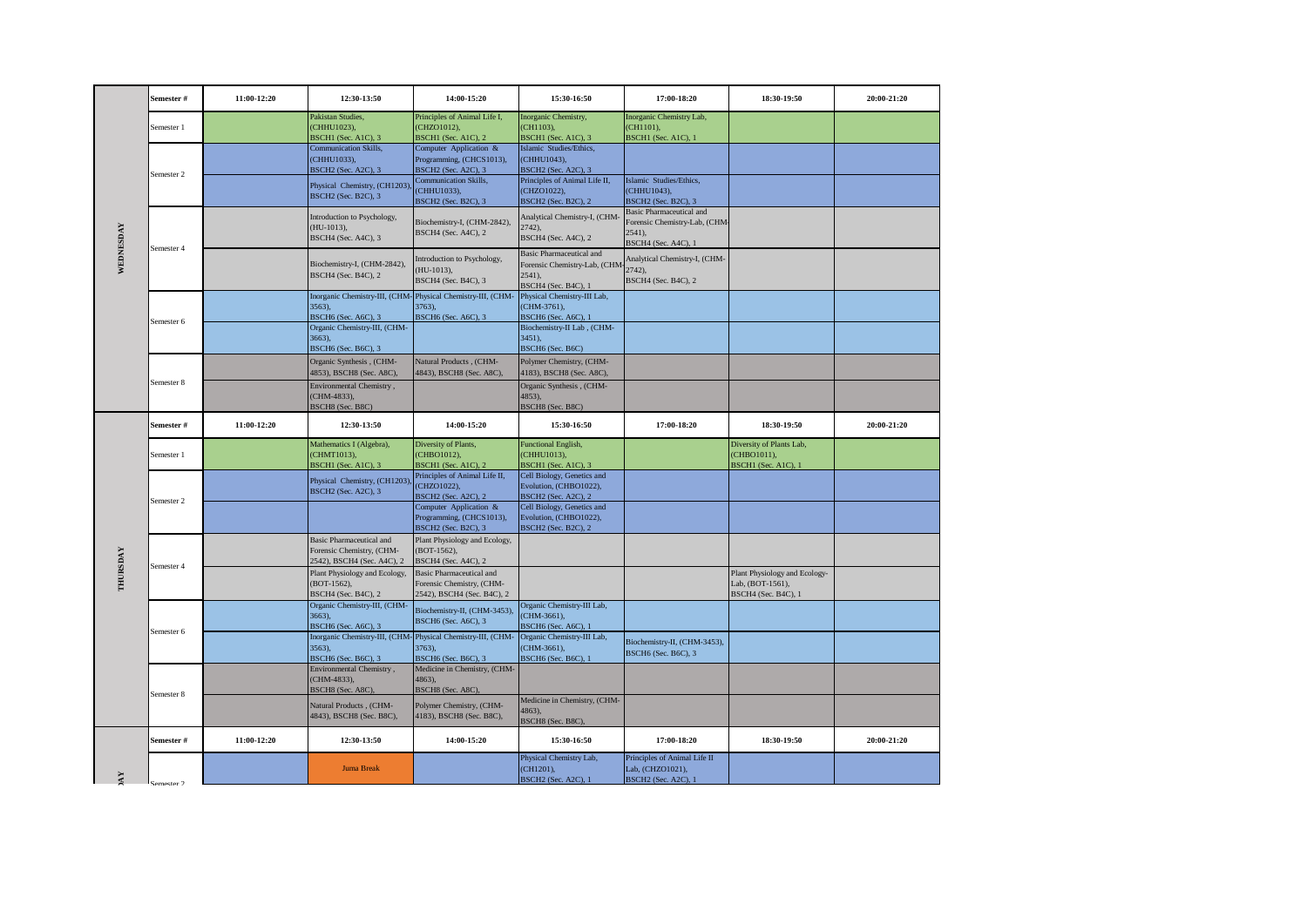|           | Semester # | 11:00-12:20 | 12:30-13:50                                                                                         | 14:00-15:20                                                                                | 15:30-16:50                                                                                      | 17:00-18:20                                                                                          | 18:30-19:50                                                              | 20:00-21:20 |
|-----------|------------|-------------|-----------------------------------------------------------------------------------------------------|--------------------------------------------------------------------------------------------|--------------------------------------------------------------------------------------------------|------------------------------------------------------------------------------------------------------|--------------------------------------------------------------------------|-------------|
|           | Semester 1 |             | Pakistan Studies.<br>(CHHU1023),<br>BSCH1 (Sec. A1C), 3                                             | Principles of Animal Life I,<br>(CHZO1012),<br><b>BSCH1</b> (Sec. A1C), 2                  | Inorganic Chemistry,<br>(CH1103),<br>BSCHI (Sec. AIC), 3                                         | Inorganic Chemistry Lab,<br>(CH1101),<br>BSCH1 (Sec. A1C), 1                                         |                                                                          |             |
|           | Semester 2 |             | <b>Communication Skills,</b><br>(CHHU1033).<br><b>BSCH2</b> (Sec. A2C), 3                           | Computer Application &<br>Programming, (CHCS1013),<br><b>BSCH2</b> (Sec. A2C), 3           | Islamic Studies/Ethics,<br>(CHHU1043).<br>BSCH2 (Sec. A2C), 3                                    |                                                                                                      |                                                                          |             |
|           |            |             | Physical Chemistry, (CH1203)<br><b>BSCH2</b> (Sec. B2C), 3                                          | <b>Communication Skills,</b><br>CHHU1033).<br><b>BSCH2</b> (Sec. B2C), 3                   | Principles of Animal Life II,<br>(CHZO1022),<br><b>BSCH2</b> (Sec. B2C), 2                       | Islamic Studies/Ethics,<br>(CHHU1043).<br><b>BSCH2</b> (Sec. B2C), 3                                 |                                                                          |             |
|           | Semester 4 |             | Introduction to Psychology,<br>$(HU-1013),$<br>BSCH4 (Sec. A4C), 3                                  | Biochemistry-I, (CHM-2842),<br><b>BSCH4</b> (Sec. A4C), 2                                  | Analytical Chemistry-I, (CHM-<br>2742),<br><b>BSCH4</b> (Sec. A4C), 2                            | <b>Basic Pharmaceutical and</b><br>Forensic Chemistry-Lab, (CHM-<br>$2541$ ),<br>BSCH4 (Sec. A4C), 1 |                                                                          |             |
| WEDNESDAY |            |             | Biochemistry-I, (CHM-2842),<br><b>BSCH4</b> (Sec. B4C), 2                                           | Introduction to Psychology,<br>HU-1013),<br>BSCH4 (Sec. B4C), 3                            | <b>Basic Pharmaceutical and</b><br>Forensic Chemistry-Lab, (CHM<br>2541).<br>BSCH4 (Sec. B4C), 1 | Analytical Chemistry-I, (CHM-<br>2742).<br>BSCH4 (Sec. B4C), 2                                       |                                                                          |             |
|           | Semester 6 |             | Inorganic Chemistry-III, (CHM-Physical Chemistry-III, (CHM-<br>3563,<br><b>BSCH6</b> (Sec. A6C), 3  | 3763),<br><b>BSCH6</b> (Sec. A6C), 3                                                       | Physical Chemistry-III Lab,<br>(CHM-3761),<br><b>BSCH6</b> (Sec. A6C), 1                         |                                                                                                      |                                                                          |             |
|           |            |             | Organic Chemistry-III, (CHM-<br>3663),<br>BSCH6 (Sec. B6C), 3                                       |                                                                                            | Biochemistry-II Lab, (CHM-<br>$3451$ ),<br>BSCH6 (Sec. B6C)                                      |                                                                                                      |                                                                          |             |
|           | Semester 8 |             | Organic Synthesis , (CHM-<br>4853), BSCH8 (Sec. A8C),                                               | Natural Products, (CHM-<br>4843), BSCH8 (Sec. A8C),                                        | Polymer Chemistry, (CHM-<br>4183), BSCH8 (Sec. A8C),                                             |                                                                                                      |                                                                          |             |
|           |            |             | Environmental Chemistry,<br>(CHM-4833),<br>BSCH8 (Sec. B8C)                                         |                                                                                            | Organic Synthesis, (CHM-<br>$4853$ ),<br>BSCH8 (Sec. B8C)                                        |                                                                                                      |                                                                          |             |
|           | Semester # | 11:00-12:20 | 12:30-13:50                                                                                         | 14:00-15:20                                                                                | 15:30-16:50                                                                                      | 17:00-18:20                                                                                          | 18:30-19:50                                                              | 20:00-21:20 |
|           | Semester 1 |             | Mathematics I (Algebra),<br>(CHMT1013),<br>BSCH1 (Sec. A1C), 3                                      | Diversity of Plants,<br>CHBO1012),<br>BSCH1 (Sec. A1C), 2                                  | <b>Functional English,</b><br>(CHHU1013),<br>BSCHI (Sec. A1C), 3                                 |                                                                                                      | Diversity of Plants Lab,<br>(CHBO1011),<br>BSCH1 (Sec. A1C), 1           |             |
|           | Semester 2 |             | Physical Chemistry, (CH1203),<br><b>BSCH2</b> (Sec. A2C), 3                                         | Principles of Animal Life II,<br>(CHZO1022),<br><b>BSCH2</b> (Sec. A2C), 2                 | Cell Biology, Genetics and<br>Evolution, (CHBO1022),<br><b>BSCH2</b> (Sec. A2C), 2               |                                                                                                      |                                                                          |             |
|           |            |             |                                                                                                     | Computer Application &<br>Programming, (CHCS1013),<br><b>BSCH2</b> (Sec. B2C), 3           | Cell Biology, Genetics and<br>Evolution, (CHBO1022),<br><b>BSCH2</b> (Sec. B2C), 2               |                                                                                                      |                                                                          |             |
|           | Semester 4 |             | <b>Basic Pharmaceutical and</b><br>Forensic Chemistry, (CHM-<br>2542), BSCH4 (Sec. A4C), 2          | Plant Physiology and Ecology,<br>(BOT-1562),<br>BSCH4 (Sec. A4C), 2                        |                                                                                                  |                                                                                                      |                                                                          |             |
| THURSDAY  |            |             | Plant Physiology and Ecology,<br>(BOT-1562),<br>BSCH4 (Sec. B4C), 2                                 | <b>Basic Pharmaceutical and</b><br>Forensic Chemistry, (CHM-<br>2542), BSCH4 (Sec. B4C), 2 |                                                                                                  |                                                                                                      | Plant Physiology and Ecology-<br>Lab, (BOT-1561),<br>BSCH4 (Sec. B4C), 1 |             |
|           | Semester 6 |             | Organic Chemistry-III, (CHM-<br>3663),<br>BSCH6 (Sec. A6C), 3                                       | Biochemistry-II, (CHM-3453),<br>BSCH6 (Sec. A6C), 3                                        | Organic Chemistry-III Lab,<br>(CHM-3661),<br>BSCH6 (Sec. A6C), 1                                 |                                                                                                      |                                                                          |             |
|           |            |             | Inorganic Chemistry-III, (CHM-Physical Chemistry-III, (CHM-<br>3563).<br><b>BSCH6</b> (Sec. B6C), 3 | 3763).<br>BSCH6 (Sec. B6C), 3                                                              | Organic Chemistry-III Lab,<br>(CHM-3661),<br>BSCH6 (Sec. B6C), 1                                 | Biochemistry-II, (CHM-3453),<br>BSCH6 (Sec. B6C), 3                                                  |                                                                          |             |
|           | Semester 8 |             | Environmental Chemistry,<br>(CHM-4833),<br>BSCH8 (Sec. A8C),                                        | Medicine in Chemistry, (CHM-<br>4863),<br>BSCH8 (Sec. A8C),                                |                                                                                                  |                                                                                                      |                                                                          |             |
|           |            |             | Natural Products, (CHM-<br>4843), BSCH8 (Sec. B8C),                                                 | Polymer Chemistry, (CHM-<br>4183), BSCH8 (Sec. B8C),                                       | Medicine in Chemistry, (CHM-<br>4863),<br>BSCH8 (Sec. B8C),                                      |                                                                                                      |                                                                          |             |
|           | Semester # | 11:00-12:20 | 12:30-13:50                                                                                         | 14:00-15:20                                                                                | 15:30-16:50                                                                                      | 17:00-18:20                                                                                          | 18:30-19:50                                                              | 20:00-21:20 |
| АY        | Competer 2 |             | <b>Juma Break</b>                                                                                   |                                                                                            | Physical Chemistry Lab,<br>(CH1201),<br><b>BSCH2</b> (Sec. A2C), 1                               | Principles of Animal Life II<br>Lab, (CHZO1021),<br>BSCH <sub>2</sub> (Sec. A <sub>2C</sub> ), 1     |                                                                          |             |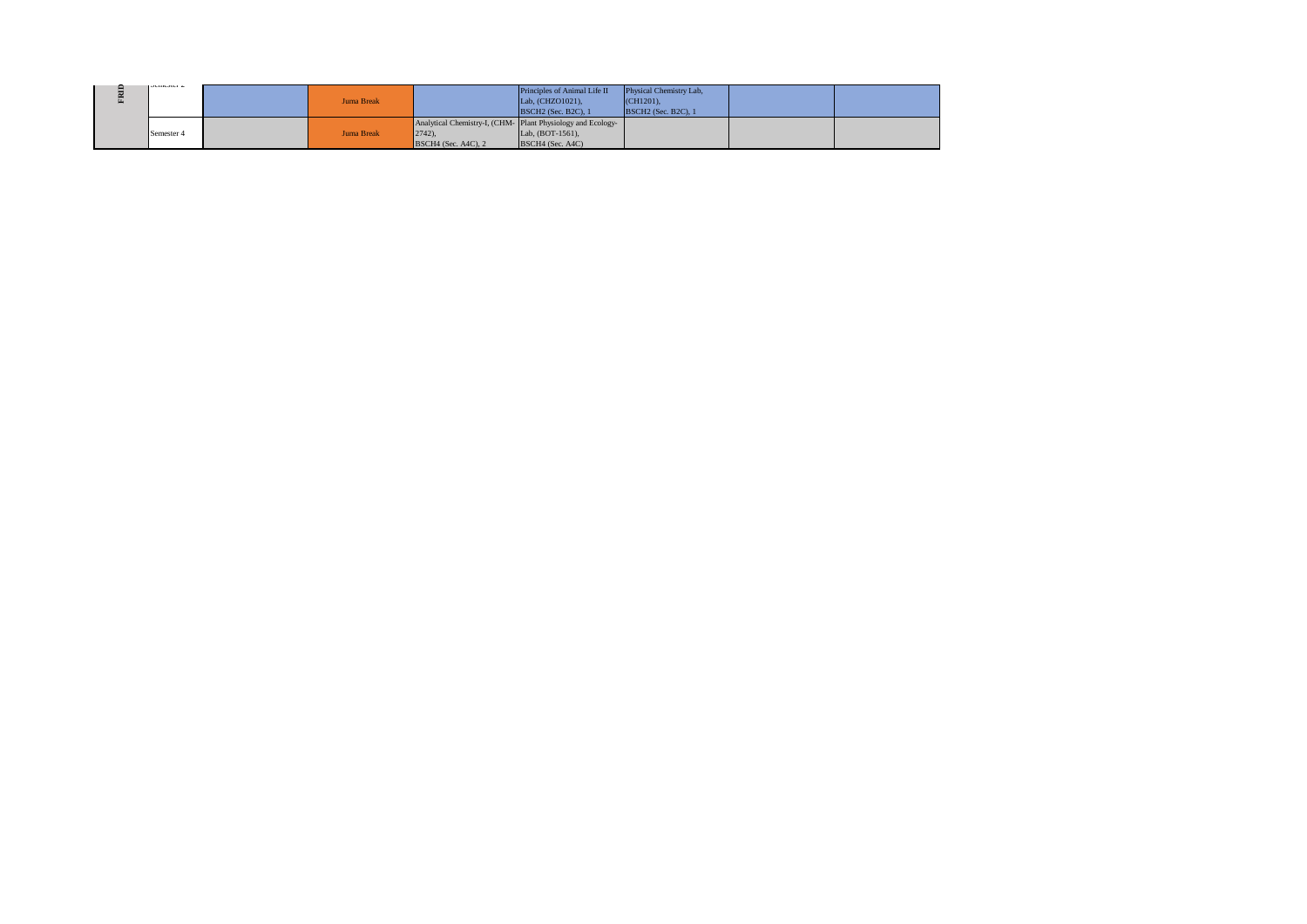| $J$ outwater $\angle$ | Juma Break |                                    | Principles of Animal Life II<br>Lab, (CHZO1021),<br><b>BSCH2</b> (Sec. B2C), 1                        | Physical Chemistry Lab,<br>$(CH1201)$ .<br><b>BSCH2</b> (Sec. B2C), 1 |  |
|-----------------------|------------|------------------------------------|-------------------------------------------------------------------------------------------------------|-----------------------------------------------------------------------|--|
| Semester 4            | Juma Break | $2742$ ),<br>$BSCH4$ (Sec. A4C), 2 | Analytical Chemistry-I, (CHM-Plant Physiology and Ecology-<br>Lab, $(BOT-1561)$ ,<br>BSCH4 (Sec. A4C) |                                                                       |  |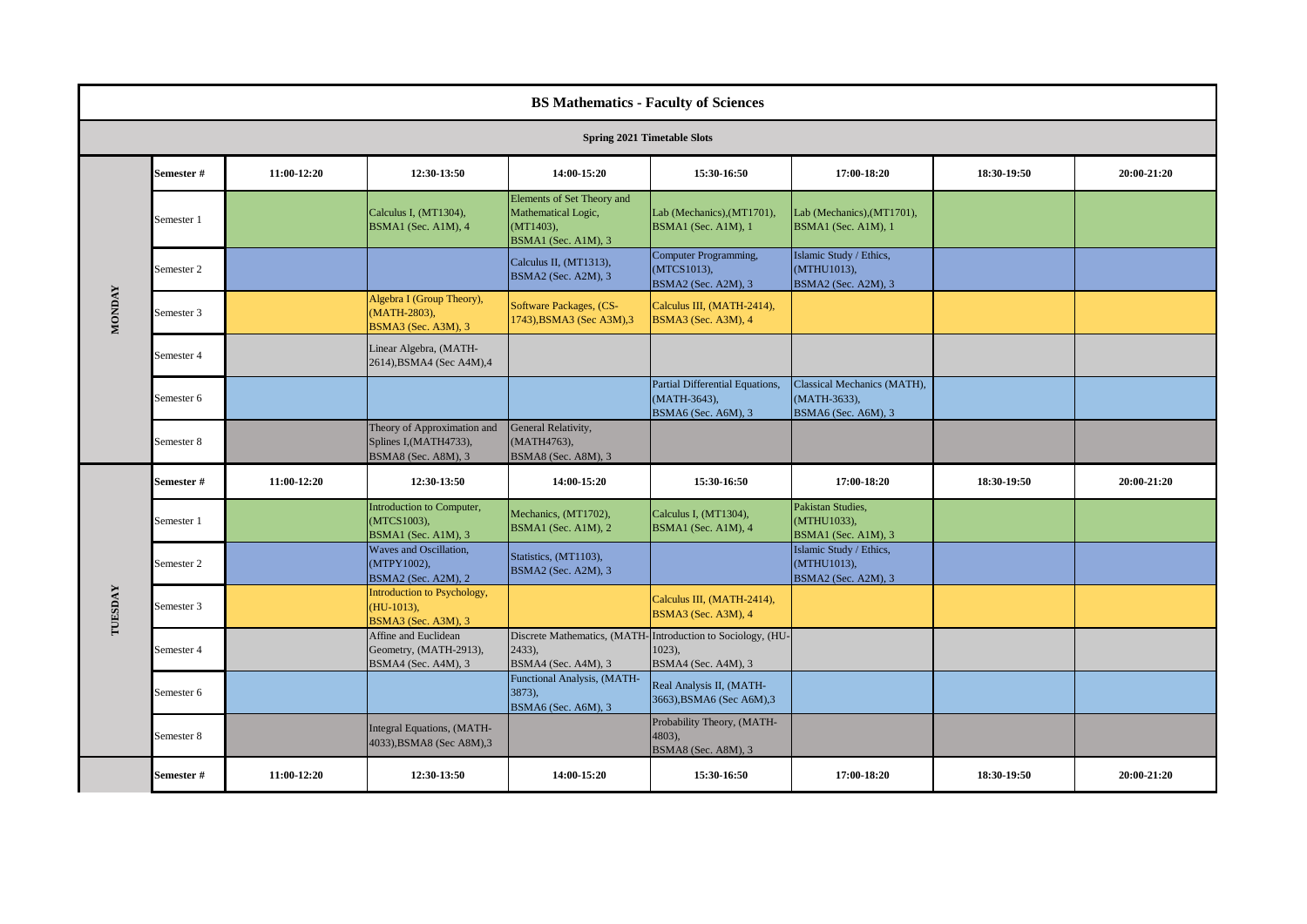|               | <b>BS Mathematics - Faculty of Sciences</b> |             |                                                                              |                                                                                          |                                                                                                 |                                                                    |             |             |  |  |
|---------------|---------------------------------------------|-------------|------------------------------------------------------------------------------|------------------------------------------------------------------------------------------|-------------------------------------------------------------------------------------------------|--------------------------------------------------------------------|-------------|-------------|--|--|
|               | <b>Spring 2021 Timetable Slots</b>          |             |                                                                              |                                                                                          |                                                                                                 |                                                                    |             |             |  |  |
|               | Semester#                                   | 11:00-12:20 | 12:30-13:50                                                                  | 14:00-15:20                                                                              | 15:30-16:50                                                                                     | 17:00-18:20                                                        | 18:30-19:50 | 20:00-21:20 |  |  |
|               | Semester 1                                  |             | Calculus I, (MT1304),<br>BSMA1 (Sec. A1M), 4                                 | Elements of Set Theory and<br>Mathematical Logic,<br>$(MT1403)$ ,<br>BSMA1 (Sec. A1M), 3 | Lab (Mechanics), (MT1701),<br>BSMA1 (Sec. A1M), 1                                               | Lab (Mechanics), (MT1701),<br>BSMA1 (Sec. A1M), 1                  |             |             |  |  |
|               | Semester 2                                  |             |                                                                              | Calculus II, (MT1313),<br>BSMA2 (Sec. A2M), 3                                            | Computer Programming,<br>(MTCS1013),<br>BSMA2 (Sec. A2M), 3                                     | Islamic Study / Ethics,<br>(MTHU1013),<br>BSMA2 (Sec. A2M), 3      |             |             |  |  |
| <b>MONDAY</b> | Semester 3                                  |             | Algebra I (Group Theory),<br>(MATH-2803),<br>BSMA3 (Sec. A3M), 3             | Software Packages, (CS-<br>1743), BSMA3 (Sec A3M), 3                                     | Calculus III, (MATH-2414),<br>BSMA3 (Sec. A3M), 4                                               |                                                                    |             |             |  |  |
|               | Semester 4                                  |             | Linear Algebra, (MATH-<br>2614), BSMA4 (Sec A4M), 4                          |                                                                                          |                                                                                                 |                                                                    |             |             |  |  |
|               | Semester 6                                  |             |                                                                              |                                                                                          | Partial Differential Equations,<br>(MATH-3643),<br>BSMA6 (Sec. A6M), 3                          | Classical Mechanics (MATH),<br>(MATH-3633),<br>BSMA6 (Sec. A6M), 3 |             |             |  |  |
|               | Semester 8                                  |             | Theory of Approximation and<br>Splines I, (MATH4733),<br>BSMA8 (Sec. A8M), 3 | General Relativity,<br>(MATH4763),<br>BSMA8 (Sec. A8M), 3                                |                                                                                                 |                                                                    |             |             |  |  |
|               | Semester #                                  | 11:00-12:20 | 12:30-13:50                                                                  | 14:00-15:20                                                                              | 15:30-16:50                                                                                     | 17:00-18:20                                                        | 18:30-19:50 | 20:00-21:20 |  |  |
|               | Semester 1                                  |             | Introduction to Computer,<br>(MTCS1003),<br>BSMA1 (Sec. A1M), 3              | Mechanics, (MT1702),<br>BSMA1 (Sec. A1M), 2                                              | Calculus I, (MT1304),<br>BSMA1 (Sec. A1M), 4                                                    | Pakistan Studies,<br>(MTHU1033),<br>BSMA1 (Sec. A1M), 3            |             |             |  |  |
|               | Semester 2                                  |             | Waves and Oscillation,<br>(MTPY1002),<br>BSMA2 (Sec. A2M), 2                 | Statistics, (MT1103),<br>BSMA2 (Sec. A2M), 3                                             |                                                                                                 | Islamic Study / Ethics,<br>(MTHU1013),<br>BSMA2 (Sec. A2M), 3      |             |             |  |  |
| TUESDAY       | Semester 3                                  |             | Introduction to Psychology,<br>$(HU-1013),$<br><b>BSMA3</b> (Sec. A3M), 3    |                                                                                          | Calculus III, (MATH-2414),<br>BSMA3 (Sec. A3M), 4                                               |                                                                    |             |             |  |  |
|               | Semester 4                                  |             | Affine and Euclidean<br>Geometry, (MATH-2913),<br>BSMA4 (Sec. A4M), 3        | $2433$ ),<br>BSMA4 (Sec. A4M), 3                                                         | Discrete Mathematics, (MATH-Introduction to Sociology, (HU-<br>$1023$ ),<br>BSMA4 (Sec. A4M), 3 |                                                                    |             |             |  |  |
|               | Semester 6                                  |             |                                                                              | Functional Analysis, (MATH-<br>3873),<br>BSMA6 (Sec. A6M), 3                             | Real Analysis II, (MATH-<br>3663), BSMA6 (Sec A6M), 3                                           |                                                                    |             |             |  |  |
|               | Semester 8                                  |             | Integral Equations, (MATH-<br>4033), BSMA8 (Sec A8M), 3                      |                                                                                          | Probability Theory, (MATH-<br>$4803$ ),<br>BSMA8 (Sec. A8M), 3                                  |                                                                    |             |             |  |  |
|               | Semester#                                   | 11:00-12:20 | 12:30-13:50                                                                  | 14:00-15:20                                                                              | 15:30-16:50                                                                                     | 17:00-18:20                                                        | 18:30-19:50 | 20:00-21:20 |  |  |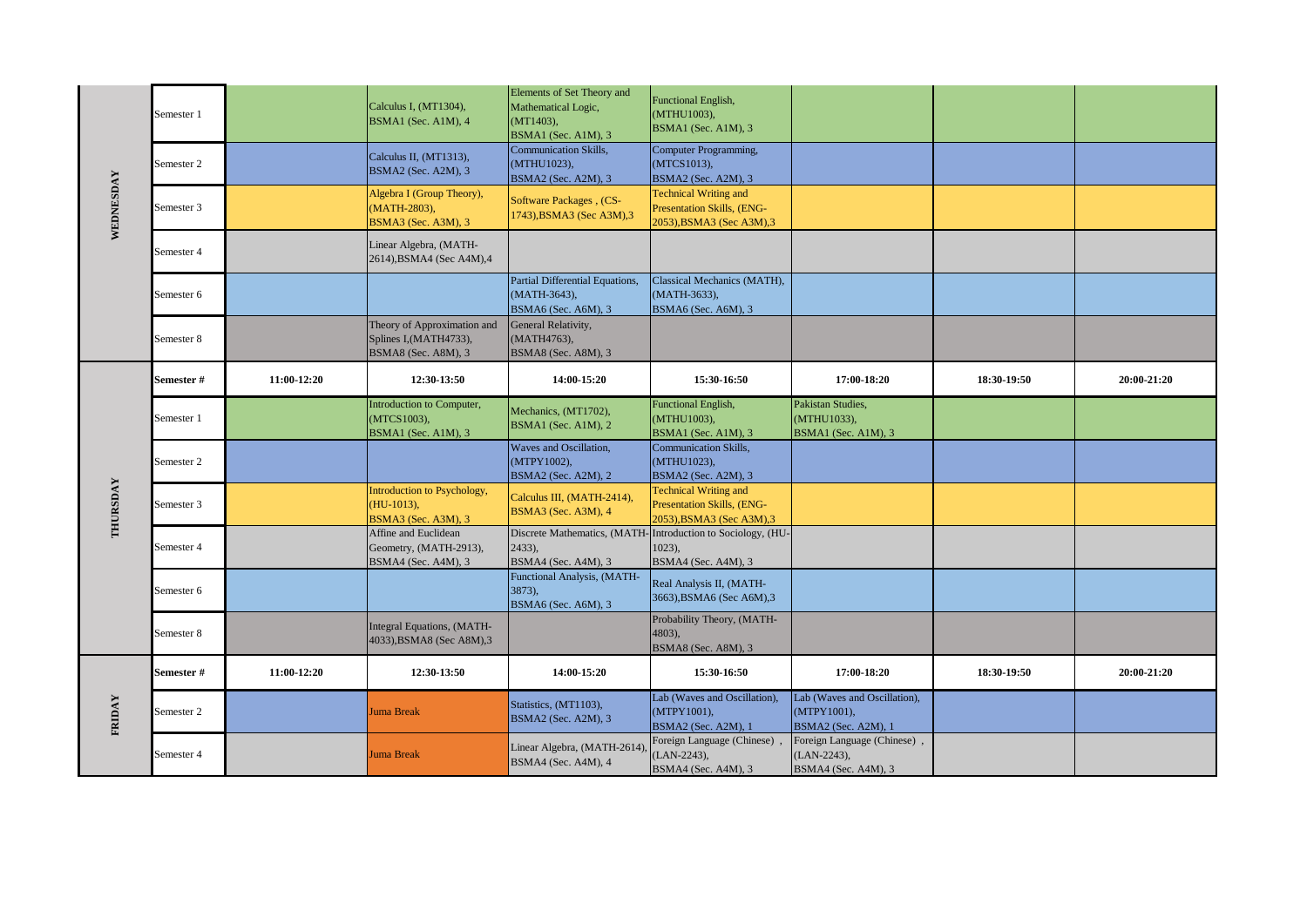|           | Semester 1 |             | Calculus I, (MT1304),<br>BSMA1 (Sec. A1M), 4                                 | Elements of Set Theory and<br>Mathematical Logic,<br>(MT1403),<br>BSMA1 (Sec. A1M), 3 | Functional English,<br>(MTHU1003),<br>BSMA1 (Sec. A1M), 3                                      |                                                                    |             |             |
|-----------|------------|-------------|------------------------------------------------------------------------------|---------------------------------------------------------------------------------------|------------------------------------------------------------------------------------------------|--------------------------------------------------------------------|-------------|-------------|
|           | Semester 2 |             | Calculus II, (MT1313),<br>BSMA2 (Sec. A2M), 3                                | Communication Skills,<br>(MTHU1023),<br>BSMA2 (Sec. A2M), 3                           | Computer Programming,<br>(MTCS1013),<br>BSMA2 (Sec. A2M), 3                                    |                                                                    |             |             |
| WEDNESDAY | Semester 3 |             | Algebra I (Group Theory),<br>(MATH-2803),<br>BSMA3 (Sec. A3M), 3             | <b>Software Packages</b> , (CS-<br>1743), BSMA3 (Sec A3M), 3                          | <b>Technical Writing and</b><br>Presentation Skills, (ENG-<br>2053), BSMA3 (Sec A3M), 3        |                                                                    |             |             |
|           | Semester 4 |             | Linear Algebra, (MATH-<br>2614), BSMA4 (Sec A4M), 4                          |                                                                                       |                                                                                                |                                                                    |             |             |
|           | Semester 6 |             |                                                                              | Partial Differential Equations,<br>(MATH-3643),<br>BSMA6 (Sec. A6M), 3                | Classical Mechanics (MATH),<br>(MATH-3633),<br>BSMA6 (Sec. A6M), 3                             |                                                                    |             |             |
|           | Semester 8 |             | Theory of Approximation and<br>Splines I, (MATH4733),<br>BSMA8 (Sec. A8M), 3 | General Relativity,<br>(MATH4763),<br>BSMA8 (Sec. A8M), 3                             |                                                                                                |                                                                    |             |             |
|           | Semester # | 11:00-12:20 | 12:30-13:50                                                                  | 14:00-15:20                                                                           | 15:30-16:50                                                                                    | 17:00-18:20                                                        | 18:30-19:50 | 20:00-21:20 |
|           | Semester 1 |             | Introduction to Computer,<br>(MTCS1003),<br>BSMA1 (Sec. A1M), 3              | Mechanics, (MT1702),<br>BSMA1 (Sec. A1M), 2                                           | Functional English,<br>(MTHU1003),<br>BSMA1 (Sec. A1M), 3                                      | Pakistan Studies,<br>(MTHU1033),<br>BSMA1 (Sec. A1M), 3            |             |             |
|           | Semester 2 |             |                                                                              | Waves and Oscillation,<br>(MTPY1002),<br>BSMA2 (Sec. A2M), 2                          | Communication Skills,<br>(MTHU1023),<br>BSMA2 (Sec. A2M), 3                                    |                                                                    |             |             |
| THURSDAY  | Semester 3 |             | Introduction to Psychology,<br>$(HU-1013),$<br>BSMA3 (Sec. A3M), 3           | Calculus III, (MATH-2414),<br>BSMA3 (Sec. A3M), 4                                     | <b>Technical Writing and</b><br>Presentation Skills, (ENG-<br>2053), BSMA3 (Sec A3M), 3        |                                                                    |             |             |
|           | Semester 4 |             | Affine and Euclidean<br>Geometry, (MATH-2913),<br>BSMA4 (Sec. A4M), 3        | 2433),<br>BSMA4 (Sec. A4M), 3                                                         | Discrete Mathematics, (MATH-Introduction to Sociology, (HU-<br>$1023$ ,<br>BSMA4 (Sec. A4M), 3 |                                                                    |             |             |
|           | Semester 6 |             |                                                                              | Functional Analysis, (MATH-<br>3873).<br>BSMA6 (Sec. A6M), 3                          | Real Analysis II, (MATH-<br>3663), BSMA6 (Sec A6M), 3                                          |                                                                    |             |             |
|           | Semester 8 |             | Integral Equations, (MATH-<br>4033), BSMA8 (Sec A8M), 3                      |                                                                                       | Probability Theory, (MATH-<br>4803,<br>BSMA8 (Sec. A8M), 3                                     |                                                                    |             |             |
|           | Semester # | 11:00-12:20 | 12:30-13:50                                                                  | 14:00-15:20                                                                           | 15:30-16:50                                                                                    | 17:00-18:20                                                        | 18:30-19:50 | 20:00-21:20 |
| FRIDAY    | Semester 2 |             | Juma Break                                                                   | Statistics, (MT1103),<br>BSMA2 (Sec. A2M), 3                                          | Lab (Waves and Oscillation),<br>(MTPY1001),<br>BSMA2 (Sec. A2M), 1                             | Lab (Waves and Oscillation),<br>(MTPY1001),<br>BSMA2 (Sec. A2M), 1 |             |             |
|           | Semester 4 |             | <b>Juma Break</b>                                                            | Linear Algebra, (MATH-2614)<br>BSMA4 (Sec. A4M), 4                                    | Foreign Language (Chinese)<br>$(LAN-2243),$<br>BSMA4 (Sec. A4M), 3                             | Foreign Language (Chinese),<br>(LAN-2243),<br>BSMA4 (Sec. A4M), 3  |             |             |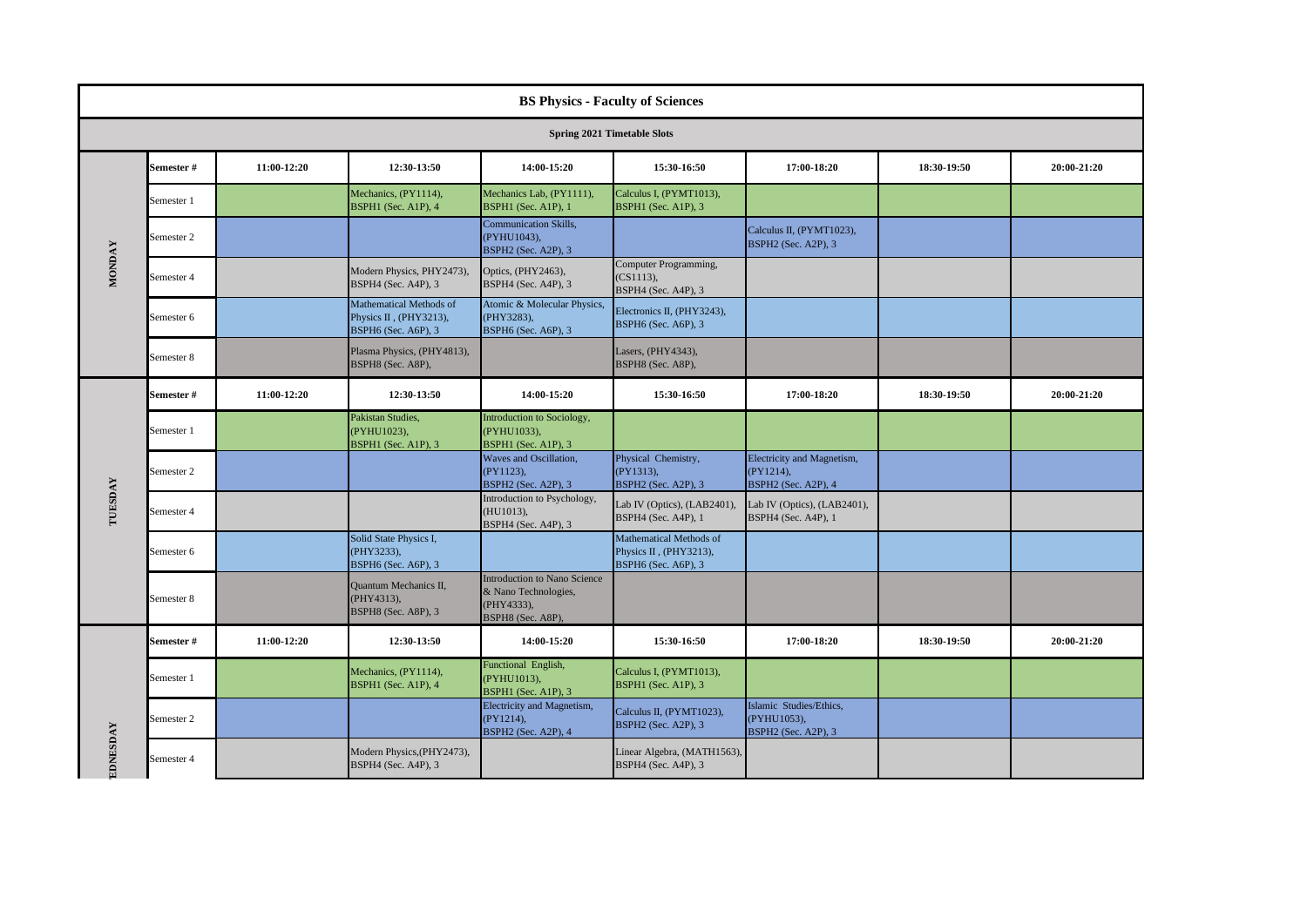|               | <b>BS Physics - Faculty of Sciences</b> |             |                                                                          |                                                                                         |                                                                          |                                                                       |             |             |  |  |
|---------------|-----------------------------------------|-------------|--------------------------------------------------------------------------|-----------------------------------------------------------------------------------------|--------------------------------------------------------------------------|-----------------------------------------------------------------------|-------------|-------------|--|--|
|               | <b>Spring 2021 Timetable Slots</b>      |             |                                                                          |                                                                                         |                                                                          |                                                                       |             |             |  |  |
|               | Semester #                              | 11:00-12:20 | 12:30-13:50                                                              | 14:00-15:20                                                                             | 15:30-16:50                                                              | 17:00-18:20                                                           | 18:30-19:50 | 20:00-21:20 |  |  |
|               | Semester 1                              |             | Mechanics, (PY1114),<br>BSPH1 (Sec. A1P), 4                              | Mechanics Lab, (PY1111),<br>BSPH1 (Sec. A1P), 1                                         | Calculus I, (PYMT1013),<br>BSPH1 (Sec. A1P), 3                           |                                                                       |             |             |  |  |
|               | Semester 2                              |             |                                                                          | <b>Communication Skills,</b><br>(PYHU1043),<br>BSPH2 (Sec. A2P), 3                      |                                                                          | Calculus II, (PYMT1023),<br><b>BSPH2</b> (Sec. A2P), 3                |             |             |  |  |
| <b>MONDAY</b> | Semester 4                              |             | Modern Physics, PHY2473),<br>BSPH4 (Sec. A4P), 3                         | Optics, (PHY2463),<br>BSPH4 (Sec. A4P), 3                                               | Computer Programming,<br>(CS1113),<br>BSPH4 (Sec. A4P), 3                |                                                                       |             |             |  |  |
|               | Semester 6                              |             | Mathematical Methods of<br>Physics II, (PHY3213),<br>BSPH6 (Sec. A6P), 3 | Atomic & Molecular Physics,<br>(PHY3283),<br>BSPH6 (Sec. A6P), 3                        | Electronics II, (PHY3243),<br>BSPH6 (Sec. A6P), 3                        |                                                                       |             |             |  |  |
|               | Semester 8                              |             | Plasma Physics, (PHY4813),<br>BSPH8 (Sec. A8P),                          |                                                                                         | Lasers, (PHY4343),<br>BSPH8 (Sec. A8P),                                  |                                                                       |             |             |  |  |
|               | Semester #                              | 11:00-12:20 | 12:30-13:50                                                              | 14:00-15:20                                                                             | 15:30-16:50                                                              | 17:00-18:20                                                           | 18:30-19:50 | 20:00-21:20 |  |  |
|               | Semester 1                              |             | Pakistan Studies,<br>(PYHU1023),<br>BSPH1 (Sec. A1P), 3                  | Introduction to Sociology,<br>(PYHU1033),<br>BSPH1 (Sec. A1P), 3                        |                                                                          |                                                                       |             |             |  |  |
|               | Semester 2                              |             |                                                                          | Waves and Oscillation,<br>(PY1123),<br><b>BSPH2</b> (Sec. A2P), 3                       | Physical Chemistry,<br>(PY1313),<br>BSPH2 (Sec. A2P), 3                  | Electricity and Magnetism,<br>(PY1214),<br><b>BSPH2</b> (Sec. A2P), 4 |             |             |  |  |
| TUESDAY       | Semester 4                              |             |                                                                          | Introduction to Psychology,<br>(HU1013),<br>BSPH4 (Sec. A4P), 3                         | Lab IV (Optics), (LAB2401),<br>BSPH4 (Sec. A4P), 1                       | Lab IV (Optics), (LAB2401),<br>BSPH4 (Sec. A4P), 1                    |             |             |  |  |
|               | Semester 6                              |             | Solid State Physics I,<br>(PHY3233),<br>BSPH6 (Sec. A6P), 3              |                                                                                         | Mathematical Methods of<br>Physics II, (PHY3213),<br>BSPH6 (Sec. A6P), 3 |                                                                       |             |             |  |  |
|               | Semester 8                              |             | Quantum Mechanics II,<br>(PHY4313),<br>BSPH8 (Sec. A8P), 3               | Introduction to Nano Science<br>& Nano Technologies,<br>(PHY4333),<br>BSPH8 (Sec. A8P), |                                                                          |                                                                       |             |             |  |  |
|               | Semester #                              | 11:00-12:20 | 12:30-13:50                                                              | 14:00-15:20                                                                             | 15:30-16:50                                                              | 17:00-18:20                                                           | 18:30 19:50 | 20:00-21:20 |  |  |
|               | Semester 1                              |             | Mechanics, (PY1114),<br>BSPH1 (Sec. A1P), 4                              | Functional English,<br>(PYHU1013),<br>BSPH1 (Sec. A1P), 3                               | Calculus I, (PYMT1013),<br>BSPH1 (Sec. A1P), 3                           |                                                                       |             |             |  |  |
| EDNESDAY      | Semester 2                              |             |                                                                          | Electricity and Magnetism,<br>$(PY1214)$ ,<br><b>BSPH2</b> (Sec. A2P), 4                | Calculus II, (PYMT1023),<br>BSPH2 (Sec. A2P), 3                          | Islamic Studies/Ethics,<br>(PYHU1053),<br>BSPH2 (Sec. A2P), 3         |             |             |  |  |
|               | Semester 4                              |             | Modern Physics, (PHY2473),<br>BSPH4 (Sec. A4P), 3                        |                                                                                         | Linear Algebra, (MATH1563),<br>BSPH4 (Sec. A4P), 3                       |                                                                       |             |             |  |  |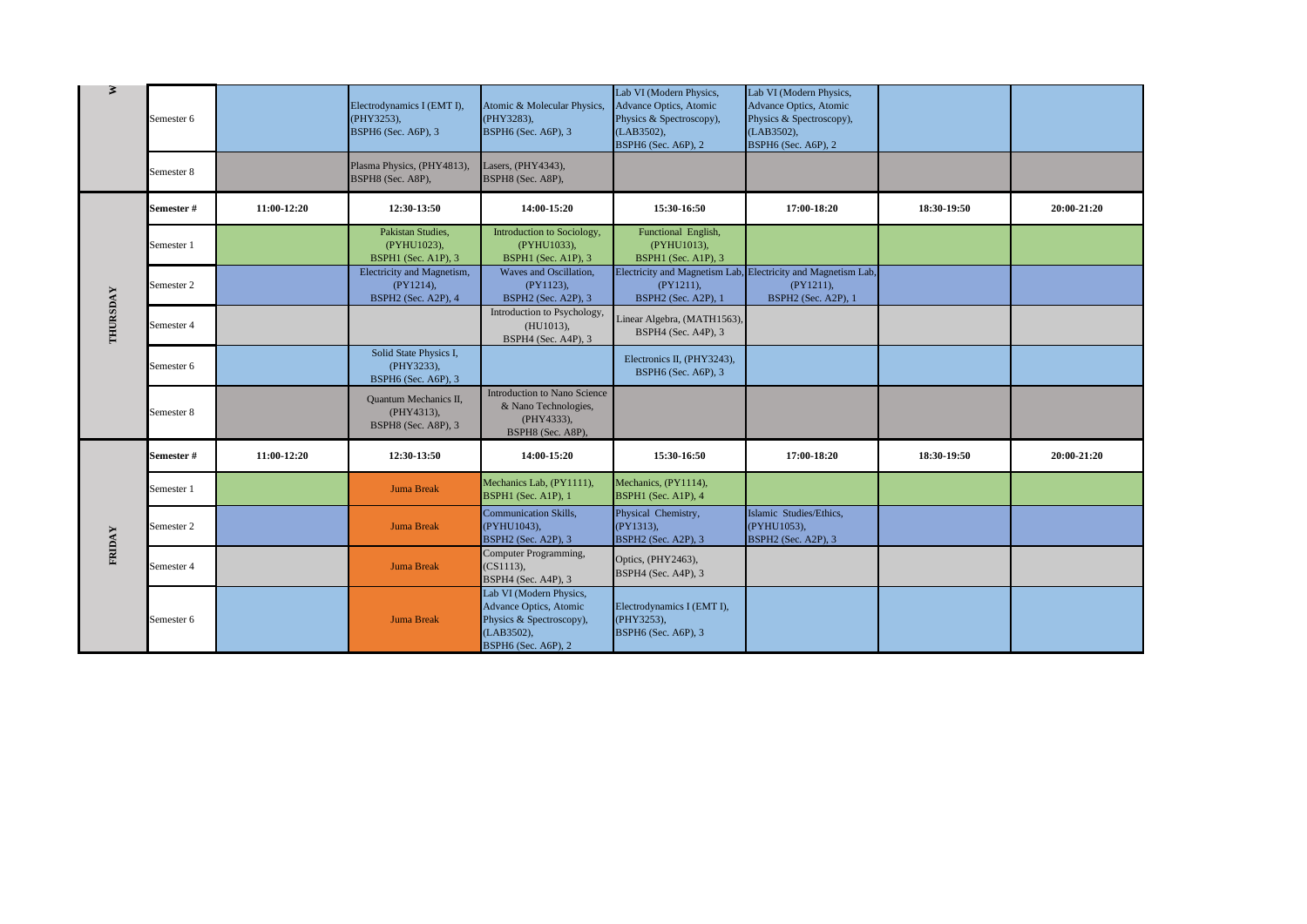| ₹        | Semester 6 |             | Electrodynamics I (EMT I),<br>(PHY3253),<br>BSPH6 (Sec. A6P), 3   | Atomic & Molecular Physics,<br>(PHY3283),<br>BSPH6 (Sec. A6P), 3                                                           | Lab VI (Modern Physics,<br>Advance Optics, Atomic<br>Physics & Spectroscopy),<br>(LAB3502),<br>BSPH6 (Sec. A6P), 2 | Lab VI (Modern Physics,<br>Advance Optics, Atomic<br>Physics & Spectroscopy),<br>(LAB3502),<br><b>BSPH6</b> (Sec. A6P), 2 |             |             |
|----------|------------|-------------|-------------------------------------------------------------------|----------------------------------------------------------------------------------------------------------------------------|--------------------------------------------------------------------------------------------------------------------|---------------------------------------------------------------------------------------------------------------------------|-------------|-------------|
|          | Semester 8 |             | Plasma Physics, (PHY4813),<br>BSPH8 (Sec. A8P),                   | Lasers, (PHY4343),<br>BSPH8 (Sec. A8P),                                                                                    |                                                                                                                    |                                                                                                                           |             |             |
|          | Semester # | 11:00-12:20 | 12:30-13:50                                                       | 14:00-15:20                                                                                                                | 15:30-16:50                                                                                                        | 17:00-18:20                                                                                                               | 18:30-19:50 | 20:00-21:20 |
|          | Semester 1 |             | Pakistan Studies,<br>(PYHU1023),<br>BSPH1 (Sec. A1P), 3           | Introduction to Sociology,<br>(PYHU1033),<br>BSPH1 (Sec. A1P), 3                                                           | Functional English,<br>(PYHU1013),<br>BSPH1 (Sec. A1P), 3                                                          |                                                                                                                           |             |             |
|          | Semester 2 |             | Electricity and Magnetism,<br>$(PY1214)$ ,<br>BSPH2 (Sec. A2P), 4 | Waves and Oscillation,<br>$(PY1123)$ ,<br>BSPH2 (Sec. A2P), 3                                                              | $(PY1211)$ ,<br>BSPH2 (Sec. A2P), 1                                                                                | Electricity and Magnetism Lab, Electricity and Magnetism Lab<br>$(PY1211)$ ,<br><b>BSPH2</b> (Sec. A2P), 1                |             |             |
| THURSDAY | Semester 4 |             |                                                                   | Introduction to Psychology,<br>(HU1013),<br>BSPH4 (Sec. A4P), 3                                                            | Linear Algebra, (MATH1563),<br>BSPH4 (Sec. A4P), 3                                                                 |                                                                                                                           |             |             |
|          | Semester 6 |             | Solid State Physics I,<br>(PHY3233),<br>BSPH6 (Sec. A6P), 3       |                                                                                                                            | Electronics II, (PHY3243),<br>BSPH6 (Sec. A6P), 3                                                                  |                                                                                                                           |             |             |
|          | Semester 8 |             | <b>Quantum Mechanics II,</b><br>(PHY4313),<br>BSPH8 (Sec. A8P), 3 | Introduction to Nano Science<br>& Nano Technologies,<br>(PHY4333),<br>BSPH8 (Sec. A8P),                                    |                                                                                                                    |                                                                                                                           |             |             |
|          | Semester # | 11:00-12:20 | 12:30-13:50                                                       | 14:00-15:20                                                                                                                | 15:30-16:50                                                                                                        | 17:00-18:20                                                                                                               | 18:30-19:50 | 20:00-21:20 |
|          | Semester 1 |             | Juma Break                                                        | Mechanics Lab, (PY1111),<br>BSPH1 (Sec. A1P), 1                                                                            | Mechanics, (PY1114),<br>BSPH1 (Sec. A1P), 4                                                                        |                                                                                                                           |             |             |
|          | Semester 2 |             | <b>Juma Break</b>                                                 | <b>Communication Skills,</b><br>(PYHU1043),<br>BSPH2 (Sec. A2P), 3                                                         | Physical Chemistry,<br>(PY1313),<br>BSPH2 (Sec. A2P), 3                                                            | Islamic Studies/Ethics,<br>(PYHU1053),<br><b>BSPH2</b> (Sec. A2P), 3                                                      |             |             |
| FRIDAY   | Semester 4 |             | <b>Juma Break</b>                                                 | Computer Programming,<br>(CS1113),<br>BSPH4 (Sec. A4P), 3                                                                  | Optics, (PHY2463),<br>BSPH4 (Sec. A4P), 3                                                                          |                                                                                                                           |             |             |
|          | Semester 6 |             | <b>Juma Break</b>                                                 | Lab VI (Modern Physics,<br><b>Advance Optics</b> , Atomic<br>Physics & Spectroscopy),<br>(LAB3502),<br>BSPH6 (Sec. A6P), 2 | Electrodynamics I (EMT I),<br>(PHY3253),<br>BSPH6 (Sec. A6P), 3                                                    |                                                                                                                           |             |             |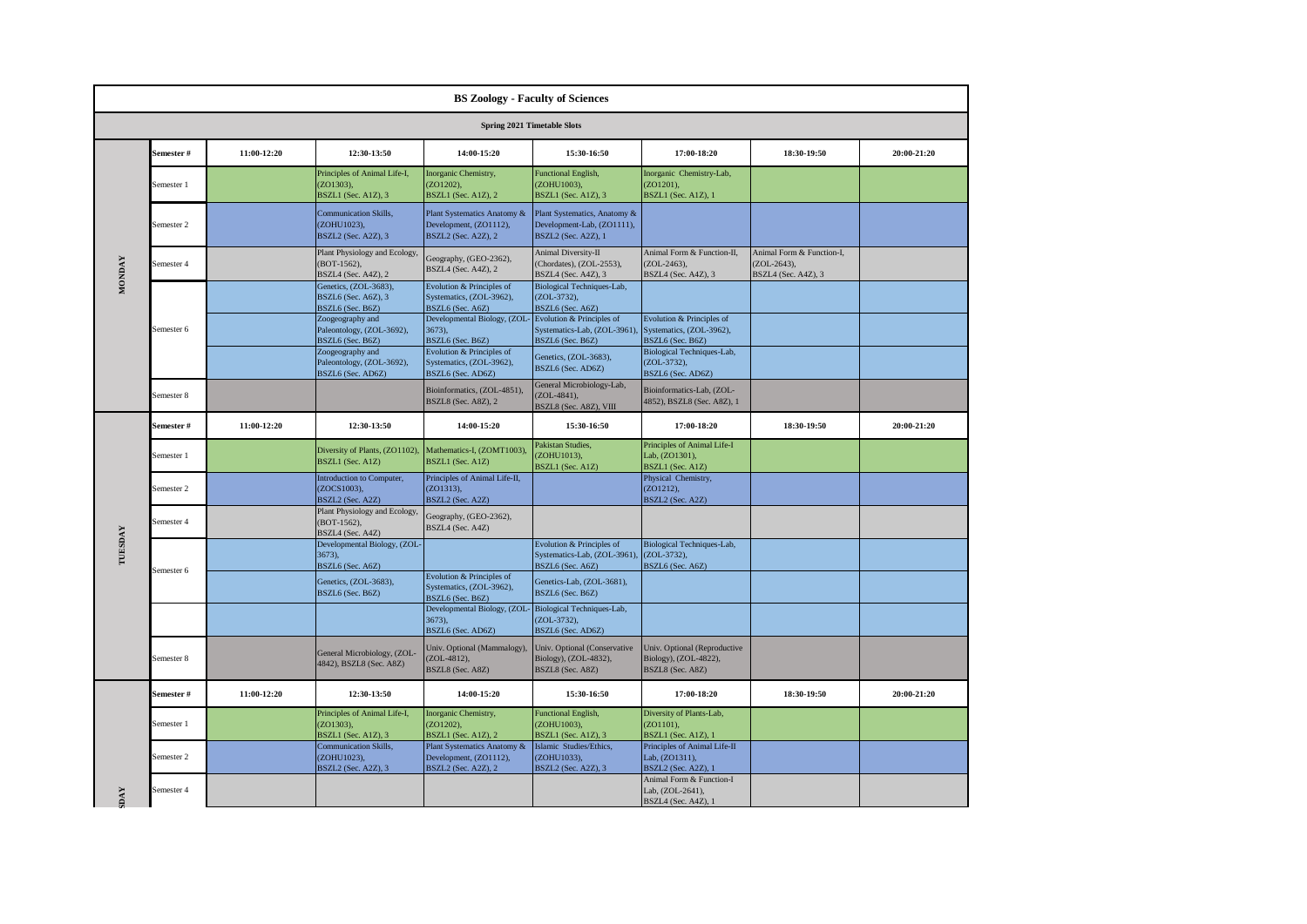|               | <b>BS Zoology - Faculty of Sciences</b> |             |                                                                              |                                                                                     |                                                                                          |                                                                              |                                                                   |             |  |  |
|---------------|-----------------------------------------|-------------|------------------------------------------------------------------------------|-------------------------------------------------------------------------------------|------------------------------------------------------------------------------------------|------------------------------------------------------------------------------|-------------------------------------------------------------------|-------------|--|--|
|               |                                         |             |                                                                              |                                                                                     | Spring 2021 Timetable Slots                                                              |                                                                              |                                                                   |             |  |  |
|               | Semester #                              | 11:00-12:20 | 12:30-13:50                                                                  | 14:00-15:20                                                                         | 15:30-16:50                                                                              | 17:00-18:20                                                                  | 18:30-19:50                                                       | 20:00-21:20 |  |  |
|               | Semester 1                              |             | Principles of Animal Life-I,<br>(ZO1303).<br><b>BSZL1</b> (Sec. A1Z), 3      | Inorganic Chemistry,<br>(ZO1202).<br><b>BSZL1</b> (Sec. A1Z), 2                     | <b>Functional English,</b><br>ZOHU1003).<br>BSZL1 (Sec. A1Z), 3                          | Inorganic Chemistry-Lab,<br>(ZO1201).<br>BSZL1 (Sec. A1Z), 1                 |                                                                   |             |  |  |
|               | Semester 2                              |             | Communication Skills,<br>(ZOHU1023),<br>BSZL2 (Sec. A2Z), 3                  | Plant Systematics Anatomy &<br>Development, (ZO1112),<br><b>BSZL2</b> (Sec. A2Z), 2 | Plant Systematics, Anatomy &<br>Development-Lab, (ZO1111),<br><b>BSZL2</b> (Sec. A2Z), 1 |                                                                              |                                                                   |             |  |  |
| <b>MONDAY</b> | Semester 4                              |             | Plant Physiology and Ecology,<br>$(BOT-1562),$<br><b>BSZL4</b> (Sec. A4Z), 2 | Geography, (GEO-2362),<br>BSZL4 (Sec. A4Z), 2                                       | <b>Animal Diversity-II</b><br>(Chordates), (ZOL-2553),<br>BSZL4 (Sec. A4Z), 3            | Animal Form & Function-II,<br>$(ZOL-2463)$ ,<br>BSZL4 (Sec. A4Z), 3          | Animal Form & Function-I,<br>$(ZOL-2643),$<br>BSZL4 (Sec. A4Z), 3 |             |  |  |
|               |                                         |             | Genetics, (ZOL-3683),<br>BSZL6 (Sec. A6Z), 3<br>BSZL6 (Sec. B6Z)             | Evolution & Principles of<br>Systematics, (ZOL-3962),<br>BSZL6 (Sec. A6Z)           | Biological Techniques-Lab,<br>(ZOL-3732),<br>BSZL6 (Sec. A6Z)                            |                                                                              |                                                                   |             |  |  |
|               | Semester 6                              |             | Zoogeography and<br>Paleontology, (ZOL-3692),<br>BSZL6 (Sec. B6Z)            | Developmental Biology, (ZOL<br>3673),<br>BSZL6 (Sec. B6Z)                           | Evolution & Principles of<br>Systematics-Lab, (ZOL-3961)<br>BSZL6 (Sec. B6Z)             | Evolution & Principles of<br>Systematics, (ZOL-3962),<br>BSZL6 (Sec. B6Z)    |                                                                   |             |  |  |
|               |                                         |             | Zoogeography and<br>Paleontology, (ZOL-3692),<br>BSZL6 (Sec. AD6Z)           | Evolution & Principles of<br>Systematics, (ZOL-3962),<br>BSZL6 (Sec. AD6Z)          | Genetics, (ZOL-3683),<br>BSZL6 (Sec. AD6Z)                                               | Biological Techniques-Lab,<br>(ZOL-3732),<br>BSZL6 (Sec. AD6Z)               |                                                                   |             |  |  |
|               | Semester 8                              |             |                                                                              | Bioinformatics, (ZOL-4851),<br><b>BSZL8</b> (Sec. A8Z), 2                           | General Microbiology-Lab,<br>$(ZOL-4841),$<br>BSZL8 (Sec. A8Z), VIII                     | Bioinformatics-Lab, (ZOL-<br>4852), BSZL8 (Sec. A8Z), 1                      |                                                                   |             |  |  |
|               | Semester#                               | 11:00-12:20 | 12:30-13:50                                                                  | 14:00-15:20                                                                         | 15:30-16:50                                                                              | 17:00-18:20                                                                  | 18:30-19:50                                                       | 20:00-21:20 |  |  |
|               | Semester 1                              |             | Diversity of Plants, (ZO1102),<br>BSZL1 (Sec. A1Z)                           | Mathematics-I, (ZOMT1003),<br>BSZL1 (Sec. A1Z)                                      | Pakistan Studies,<br>(ZOHU1013).<br>BSZL1 (Sec. A1Z)                                     | Principles of Animal Life-I<br>Lab, (ZO1301),<br>BSZL1 (Sec. A1Z)            |                                                                   |             |  |  |
|               | Semester 2                              |             | Introduction to Computer,<br>(ZOCS1003),<br>BSZL2 (Sec. A2Z)                 | Principles of Animal Life-II,<br>(ZO1313),<br>BSZL2 (Sec. A2Z)                      |                                                                                          | Physical Chemistry,<br>$(ZO1212)$ ,<br>BSZL2 (Sec. A2Z)                      |                                                                   |             |  |  |
|               | Semester 4                              |             | Plant Physiology and Ecology,<br>(BOT-1562),<br>BSZL4 (Sec. A4Z)             | Geography, (GEO-2362),<br>BSZL4 (Sec. A4Z)                                          |                                                                                          |                                                                              |                                                                   |             |  |  |
| TUESDAY       | Semester 6                              |             | Developmental Biology, (ZOL-<br>3673,<br>BSZL6 (Sec. A6Z)                    |                                                                                     | Evolution & Principles of<br>Systematics-Lab, (ZOL-3961).<br>BSZL6 (Sec. A6Z)            | Biological Techniques-Lab,<br>(ZOL-3732),<br>BSZL6 (Sec. A6Z)                |                                                                   |             |  |  |
|               |                                         |             | Genetics, (ZOL-3683),<br>BSZL6 (Sec. B6Z)                                    | Evolution & Principles of<br>Systematics, (ZOL-3962),<br>BSZL6 (Sec. B6Z)           | Genetics-Lab, (ZOL-3681),<br>BSZL6 (Sec. B6Z)                                            |                                                                              |                                                                   |             |  |  |
|               |                                         |             |                                                                              | Developmental Biology, (ZOL-<br>3673),<br>BSZL6 (Sec. AD6Z)                         | Biological Techniques-Lab,<br>(ZOL-3732),<br>BSZL6 (Sec. AD6Z)                           |                                                                              |                                                                   |             |  |  |
|               | Semester 8                              |             | General Microbiology, (ZOL-<br>4842), BSZL8 (Sec. A8Z)                       | Univ. Optional (Mammalogy),<br>(ZOL-4812),<br>BSZL8 (Sec. A8Z)                      | Univ. Optional (Conservative<br>Biology), (ZOL-4832),<br>BSZL8 (Sec. A8Z)                | Univ. Optional (Reproductive<br>Biology), (ZOL-4822),<br>BSZL8 (Sec. A8Z)    |                                                                   |             |  |  |
|               | Semester#                               | 11:00-12:20 | 12:30-13:50                                                                  | 14:00-15:20                                                                         | 15:30-16:50                                                                              | 17:00-18:20                                                                  | 18:30-19:50                                                       | 20:00-21:20 |  |  |
|               | Semester 1                              |             | Principles of Animal Life-I,<br>$(ZO1303)$ ,<br>BSZL1 (Sec. A1Z), 3          | Inorganic Chemistry,<br>(ZO1202),<br><b>BSZL1</b> (Sec. A1Z), 2                     | <b>Functional English,</b><br>(ZOHU1003),<br>BSZL1 (Sec. A1Z), 3                         | Diversity of Plants-Lab,<br>$(ZO1101)$ ,<br>BSZL1 (Sec. A1Z), 1              |                                                                   |             |  |  |
|               | Semester 2                              |             | Communication Skills,<br>(ZOHU1023),<br>BSZL2 (Sec. A2Z), 3                  | Plant Systematics Anatomy &<br>Development, (ZO1112),<br>BSZL2 (Sec. A2Z), 2        | Islamic Studies/Ethics,<br>(ZOHU1033),<br>BSZL2 (Sec. A2Z), 3                            | Principles of Animal Life-II<br>Lab, (ZO1311),<br><b>BSZL2</b> (Sec. A2Z), 1 |                                                                   |             |  |  |
| <b>DAY</b>    | Semester 4                              |             |                                                                              |                                                                                     |                                                                                          | Animal Form & Function-I<br>Lab. (ZOL-2641).<br>BSZL4 (Sec. A4Z), 1          |                                                                   |             |  |  |